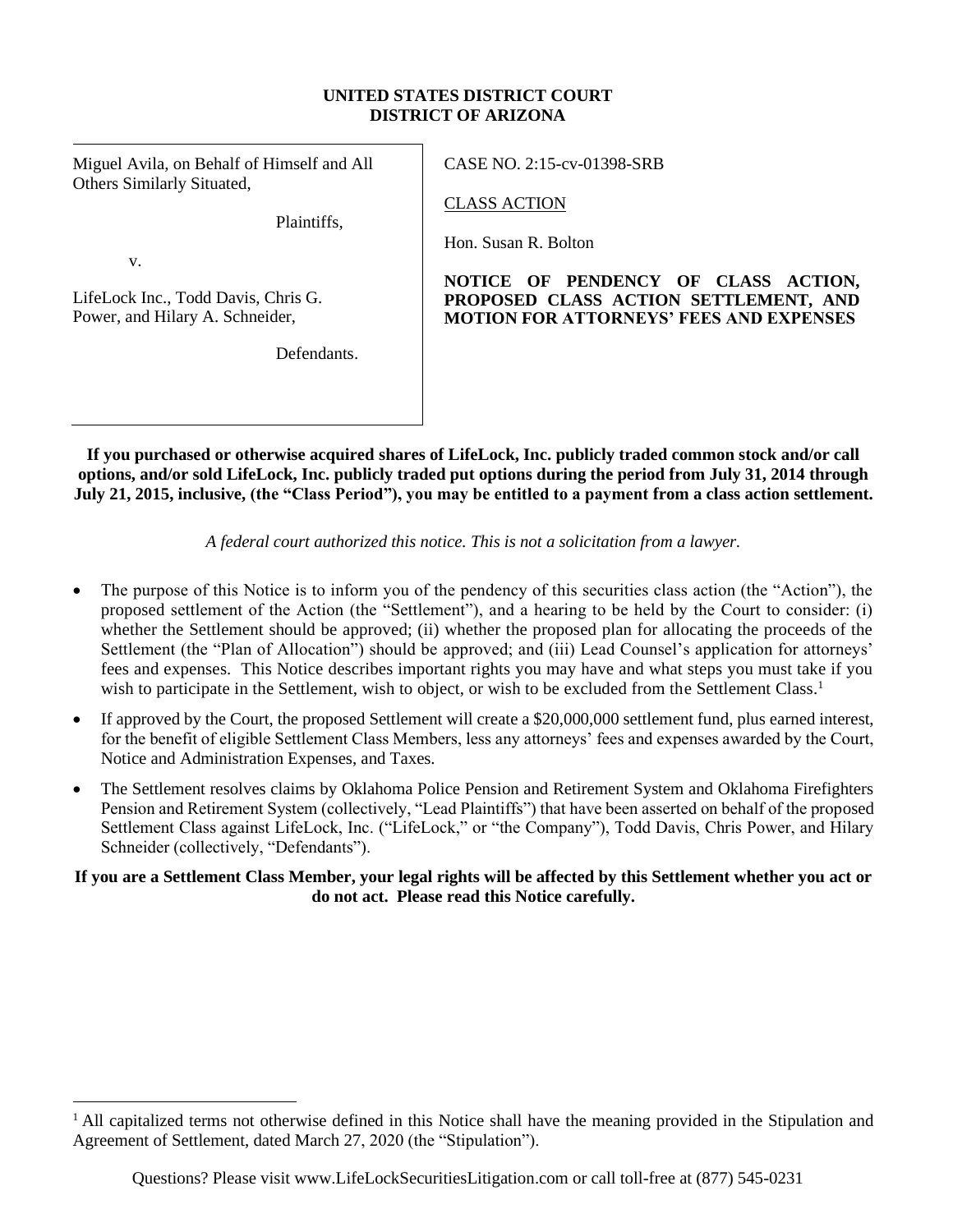#### **UNITED STATES DISTRICT COURT DISTRICT OF ARIZONA**

Miguel Avila, on Behalf of Himself and All Others Similarly Situated,

Plaintiffs,

v.

LifeLock Inc., Todd Davis, Chris G. Power, and Hilary A. Schneider,

**Defendants** 

CASE NO. 2:15-cv-01398-SRB

CLASS ACTION

Hon. Susan R. Bolton

#### **NOTICE OF PENDENCY OF CLASS ACTION, PROPOSED CLASS ACTION SETTLEMENT, AND MOTION FOR ATTORNEYS' FEES AND EXPENSES**

**If you purchased or otherwise acquired shares of LifeLock, Inc. publicly traded common stock and/or call options, and/or sold LifeLock, Inc. publicly traded put options during the period from July 31, 2014 through July 21, 2015, inclusive, (the "Class Period"), you may be entitled to a payment from a class action settlement.**

*A federal court authorized this notice. This is not a solicitation from a lawyer.*

- The purpose of this Notice is to inform you of the pendency of this securities class action (the "Action"), the proposed settlement of the Action (the "Settlement"), and a hearing to be held by the Court to consider: (i) whether the Settlement should be approved; (ii) whether the proposed plan for allocating the proceeds of the Settlement (the "Plan of Allocation") should be approved; and (iii) Lead Counsel's application for attorneys' fees and expenses. This Notice describes important rights you may have and what steps you must take if you wish to participate in the Settlement, wish to object, or wish to be excluded from the Settlement Class.<sup>1</sup>
- If approved by the Court, the proposed Settlement will create a \$20,000,000 settlement fund, plus earned interest, for the benefit of eligible Settlement Class Members, less any attorneys' fees and expenses awarded by the Court, Notice and Administration Expenses, and Taxes.
- The Settlement resolves claims by Oklahoma Police Pension and Retirement System and Oklahoma Firefighters Pension and Retirement System (collectively, "Lead Plaintiffs") that have been asserted on behalf of the proposed Settlement Class against LifeLock, Inc. ("LifeLock," or "the Company"), Todd Davis, Chris Power, and Hilary Schneider (collectively, "Defendants").

**If you are a Settlement Class Member, your legal rights will be affected by this Settlement whether you act or do not act. Please read this Notice carefully.**

<sup>&</sup>lt;sup>1</sup> All capitalized terms not otherwise defined in this Notice shall have the meaning provided in the Stipulation and Agreement of Settlement, dated March 27, 2020 (the "Stipulation").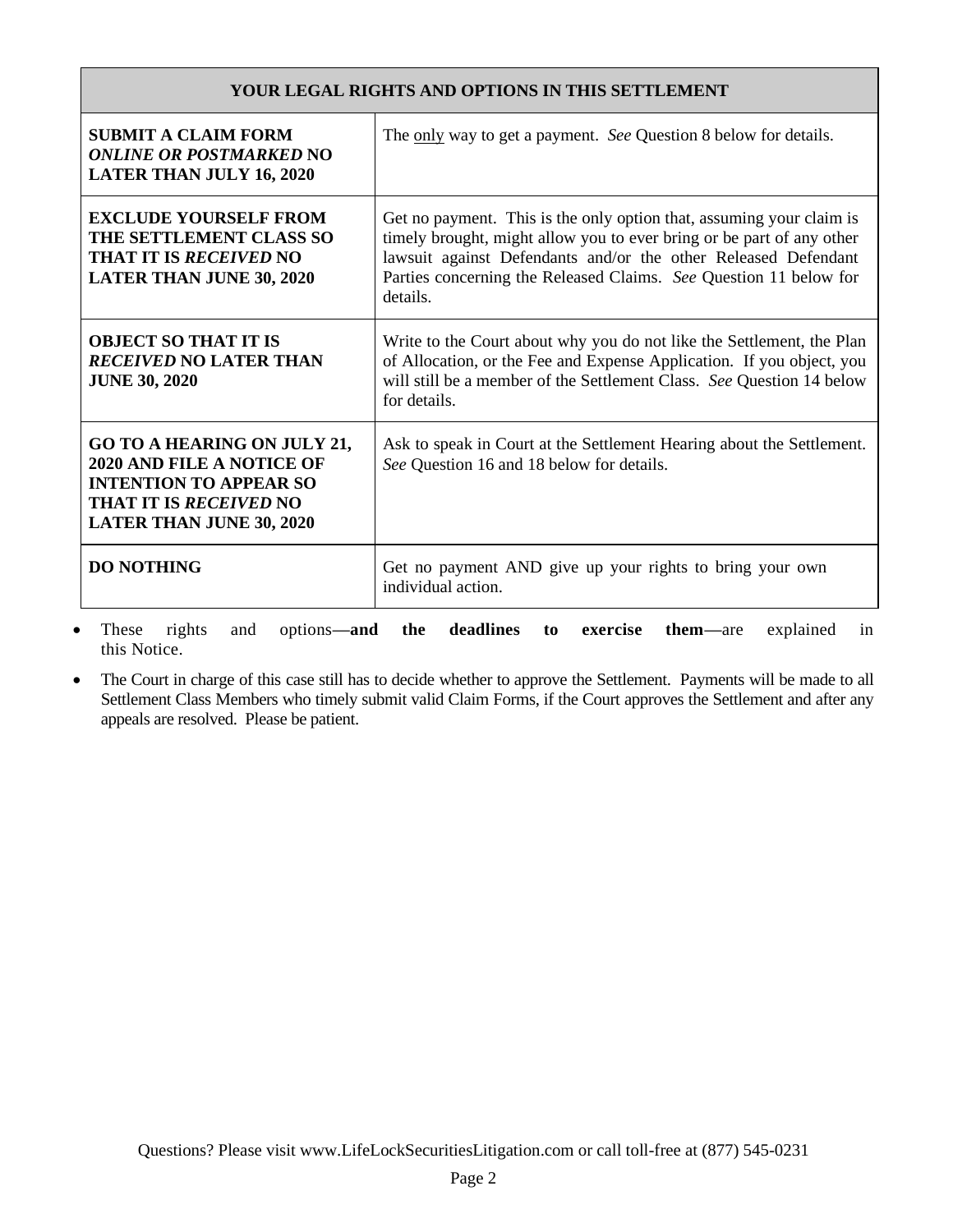## **YOUR LEGAL RIGHTS AND OPTIONS IN THIS SETTLEMENT**

| <b>SUBMIT A CLAIM FORM</b><br><i><b>ONLINE OR POSTMARKED NO</b></i><br><b>LATER THAN JULY 16, 2020</b>                                                                      | The <u>only</u> way to get a payment. See Question 8 below for details.                                                                                                                                                                                                                          |
|-----------------------------------------------------------------------------------------------------------------------------------------------------------------------------|--------------------------------------------------------------------------------------------------------------------------------------------------------------------------------------------------------------------------------------------------------------------------------------------------|
| <b>EXCLUDE YOURSELF FROM</b><br>THE SETTLEMENT CLASS SO<br><b>THAT IT IS RECEIVED NO</b><br><b>LATER THAN JUNE 30, 2020</b>                                                 | Get no payment. This is the only option that, assuming your claim is<br>timely brought, might allow you to ever bring or be part of any other<br>lawsuit against Defendants and/or the other Released Defendant<br>Parties concerning the Released Claims. See Question 11 below for<br>details. |
| <b>OBJECT SO THAT IT IS</b><br><b>RECEIVED NO LATER THAN</b><br><b>JUNE 30, 2020</b>                                                                                        | Write to the Court about why you do not like the Settlement, the Plan<br>of Allocation, or the Fee and Expense Application. If you object, you<br>will still be a member of the Settlement Class. See Question 14 below<br>for details.                                                          |
| <b>GO TO A HEARING ON JULY 21,</b><br><b>2020 AND FILE A NOTICE OF</b><br><b>INTENTION TO APPEAR SO</b><br><b>THAT IT IS RECEIVED NO</b><br><b>LATER THAN JUNE 30, 2020</b> | Ask to speak in Court at the Settlement Hearing about the Settlement.<br>See Question 16 and 18 below for details.                                                                                                                                                                               |
| <b>DO NOTHING</b>                                                                                                                                                           | Get no payment AND give up your rights to bring your own<br>individual action.                                                                                                                                                                                                                   |

• These rights and options**—and the deadlines to exercise them—**are explained in this Notice.

• The Court in charge of this case still has to decide whether to approve the Settlement. Payments will be made to all Settlement Class Members who timely submit valid Claim Forms, if the Court approves the Settlement and after any appeals are resolved. Please be patient.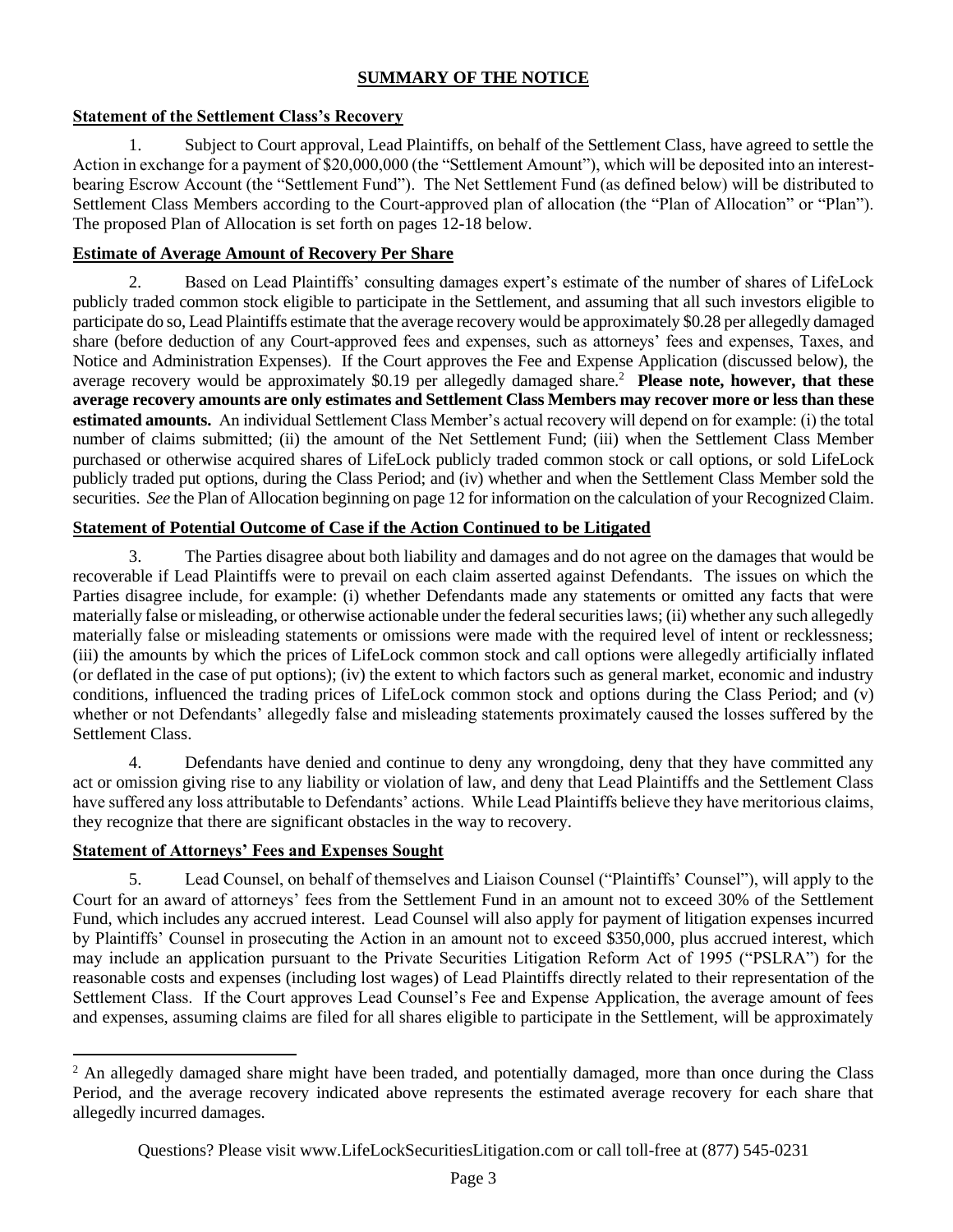# **SUMMARY OF THE NOTICE**

## **Statement of the Settlement Class's Recovery**

1. Subject to Court approval, Lead Plaintiffs, on behalf of the Settlement Class, have agreed to settle the Action in exchange for a payment of \$20,000,000 (the "Settlement Amount"), which will be deposited into an interestbearing Escrow Account (the "Settlement Fund"). The Net Settlement Fund (as defined below) will be distributed to Settlement Class Members according to the Court-approved plan of allocation (the "Plan of Allocation" or "Plan"). The proposed Plan of Allocation is set forth on pages 12-18 below.

## **Estimate of Average Amount of Recovery Per Share**

2. Based on Lead Plaintiffs' consulting damages expert's estimate of the number of shares of LifeLock publicly traded common stock eligible to participate in the Settlement, and assuming that all such investors eligible to participate do so, Lead Plaintiffs estimate that the average recovery would be approximately \$0.28 per allegedly damaged share (before deduction of any Court-approved fees and expenses, such as attorneys' fees and expenses, Taxes, and Notice and Administration Expenses). If the Court approves the Fee and Expense Application (discussed below), the average recovery would be approximately \$0.19 per allegedly damaged share.<sup>2</sup> Please note, however, that these **average recovery amounts are only estimates and Settlement Class Members may recover more or less than these estimated amounts.** An individual Settlement Class Member's actual recovery will depend on for example: (i) the total number of claims submitted; (ii) the amount of the Net Settlement Fund; (iii) when the Settlement Class Member purchased or otherwise acquired shares of LifeLock publicly traded common stock or call options, or sold LifeLock publicly traded put options, during the Class Period; and (iv) whether and when the Settlement Class Member sold the securities. *See* the Plan of Allocation beginning on page 12 for information on the calculation of your Recognized Claim.

## **Statement of Potential Outcome of Case if the Action Continued to be Litigated**

3. The Parties disagree about both liability and damages and do not agree on the damages that would be recoverable if Lead Plaintiffs were to prevail on each claim asserted against Defendants. The issues on which the Parties disagree include, for example: (i) whether Defendants made any statements or omitted any facts that were materially false or misleading, or otherwise actionable under the federal securities laws; (ii) whether any such allegedly materially false or misleading statements or omissions were made with the required level of intent or recklessness; (iii) the amounts by which the prices of LifeLock common stock and call options were allegedly artificially inflated (or deflated in the case of put options); (iv) the extent to which factors such as general market, economic and industry conditions, influenced the trading prices of LifeLock common stock and options during the Class Period; and (v) whether or not Defendants' allegedly false and misleading statements proximately caused the losses suffered by the Settlement Class.

4. Defendants have denied and continue to deny any wrongdoing, deny that they have committed any act or omission giving rise to any liability or violation of law, and deny that Lead Plaintiffs and the Settlement Class have suffered any loss attributable to Defendants' actions. While Lead Plaintiffs believe they have meritorious claims, they recognize that there are significant obstacles in the way to recovery.

# **Statement of Attorneys' Fees and Expenses Sought**

5. Lead Counsel, on behalf of themselves and Liaison Counsel ("Plaintiffs' Counsel"), will apply to the Court for an award of attorneys' fees from the Settlement Fund in an amount not to exceed 30% of the Settlement Fund, which includes any accrued interest. Lead Counsel will also apply for payment of litigation expenses incurred by Plaintiffs' Counsel in prosecuting the Action in an amount not to exceed \$350,000, plus accrued interest, which may include an application pursuant to the Private Securities Litigation Reform Act of 1995 ("PSLRA") for the reasonable costs and expenses (including lost wages) of Lead Plaintiffs directly related to their representation of the Settlement Class. If the Court approves Lead Counsel's Fee and Expense Application, the average amount of fees and expenses, assuming claims are filed for all shares eligible to participate in the Settlement, will be approximately

<sup>&</sup>lt;sup>2</sup> An allegedly damaged share might have been traded, and potentially damaged, more than once during the Class Period, and the average recovery indicated above represents the estimated average recovery for each share that allegedly incurred damages.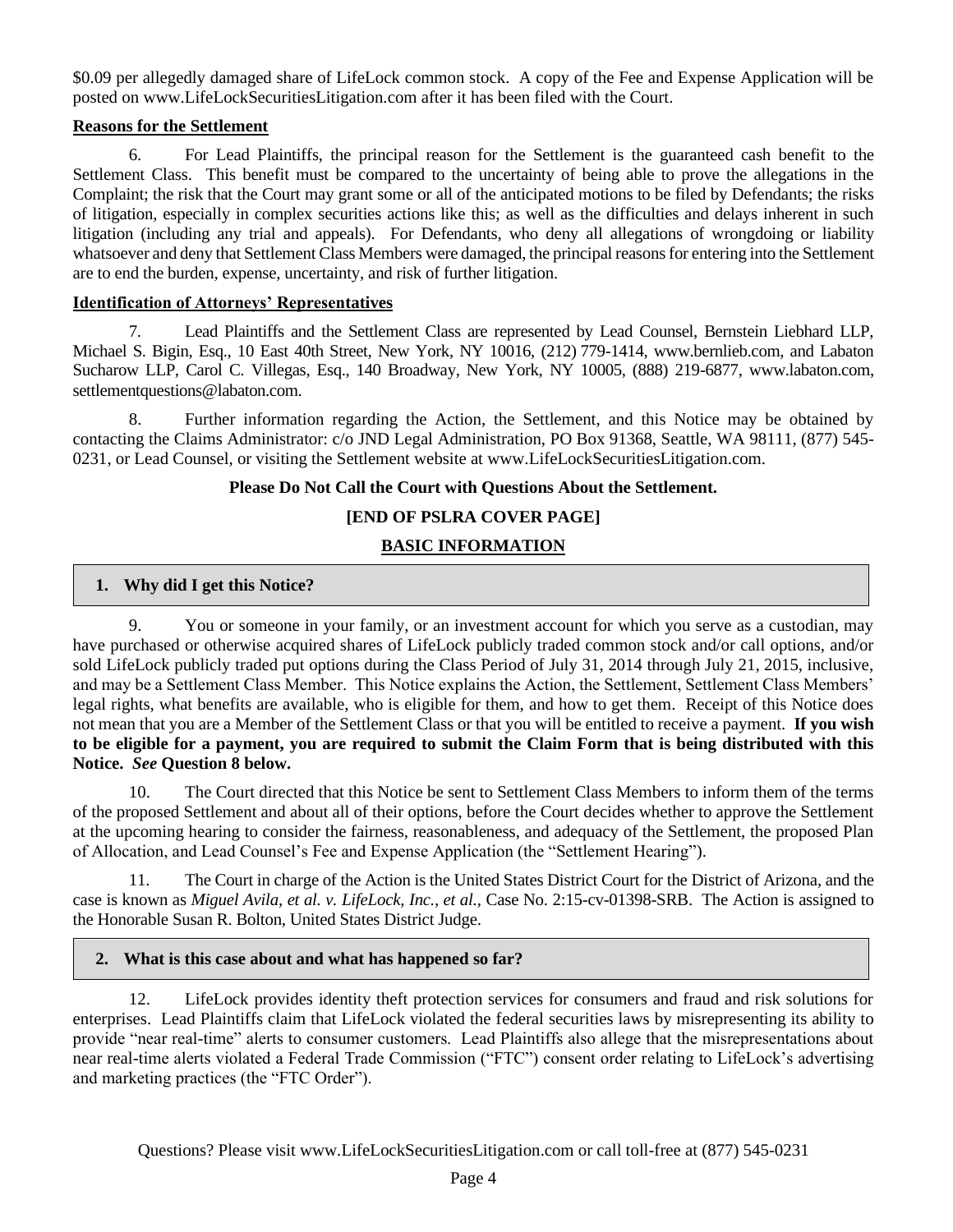\$0.09 per allegedly damaged share of LifeLock common stock. A copy of the Fee and Expense Application will be posted on www.LifeLockSecuritiesLitigation.com after it has been filed with the Court.

#### **Reasons for the Settlement**

6. For Lead Plaintiffs, the principal reason for the Settlement is the guaranteed cash benefit to the Settlement Class. This benefit must be compared to the uncertainty of being able to prove the allegations in the Complaint; the risk that the Court may grant some or all of the anticipated motions to be filed by Defendants; the risks of litigation, especially in complex securities actions like this; as well as the difficulties and delays inherent in such litigation (including any trial and appeals). For Defendants, who deny all allegations of wrongdoing or liability whatsoever and deny that Settlement Class Members were damaged, the principal reasons for entering into the Settlement are to end the burden, expense, uncertainty, and risk of further litigation.

#### **Identification of Attorneys' Representatives**

7. Lead Plaintiffs and the Settlement Class are represented by Lead Counsel, Bernstein Liebhard LLP, Michael S. Bigin, Esq., 10 East 40th Street, New York, NY 10016, (212) 779-1414, www.bernlieb.com, and Labaton Sucharow LLP, Carol C. Villegas, Esq., 140 Broadway, New York, NY 10005, (888) 219-6877, www.labaton.com, settlementquestions@labaton.com.

8. Further information regarding the Action, the Settlement, and this Notice may be obtained by contacting the Claims Administrator: c/o JND Legal Administration, PO Box 91368, Seattle, WA 98111, (877) 545- 0231, or Lead Counsel, or visiting the Settlement website at www.LifeLockSecuritiesLitigation.com.

#### **Please Do Not Call the Court with Questions About the Settlement.**

# **[END OF PSLRA COVER PAGE]**

# **BASIC INFORMATION**

## **1. Why did I get this Notice?**

9. You or someone in your family, or an investment account for which you serve as a custodian, may have purchased or otherwise acquired shares of LifeLock publicly traded common stock and/or call options, and/or sold LifeLock publicly traded put options during the Class Period of July 31, 2014 through July 21, 2015, inclusive, and may be a Settlement Class Member. This Notice explains the Action, the Settlement, Settlement Class Members' legal rights, what benefits are available, who is eligible for them, and how to get them. Receipt of this Notice does not mean that you are a Member of the Settlement Class or that you will be entitled to receive a payment. **If you wish to be eligible for a payment, you are required to submit the Claim Form that is being distributed with this Notice.** *See* **Question 8 below.**

10. The Court directed that this Notice be sent to Settlement Class Members to inform them of the terms of the proposed Settlement and about all of their options, before the Court decides whether to approve the Settlement at the upcoming hearing to consider the fairness, reasonableness, and adequacy of the Settlement, the proposed Plan of Allocation, and Lead Counsel's Fee and Expense Application (the "Settlement Hearing").

11. The Court in charge of the Action is the United States District Court for the District of Arizona, and the case is known as *Miguel Avila, et al. v. LifeLock, Inc., et al.,* Case No. 2:15-cv-01398-SRB. The Action is assigned to the Honorable Susan R. Bolton, United States District Judge.

## **2. What is this case about and what has happened so far?**

12. LifeLock provides identity theft protection services for consumers and fraud and risk solutions for enterprises. Lead Plaintiffs claim that LifeLock violated the federal securities laws by misrepresenting its ability to provide "near real-time" alerts to consumer customers. Lead Plaintiffs also allege that the misrepresentations about near real-time alerts violated a Federal Trade Commission ("FTC") consent order relating to LifeLock's advertising and marketing practices (the "FTC Order").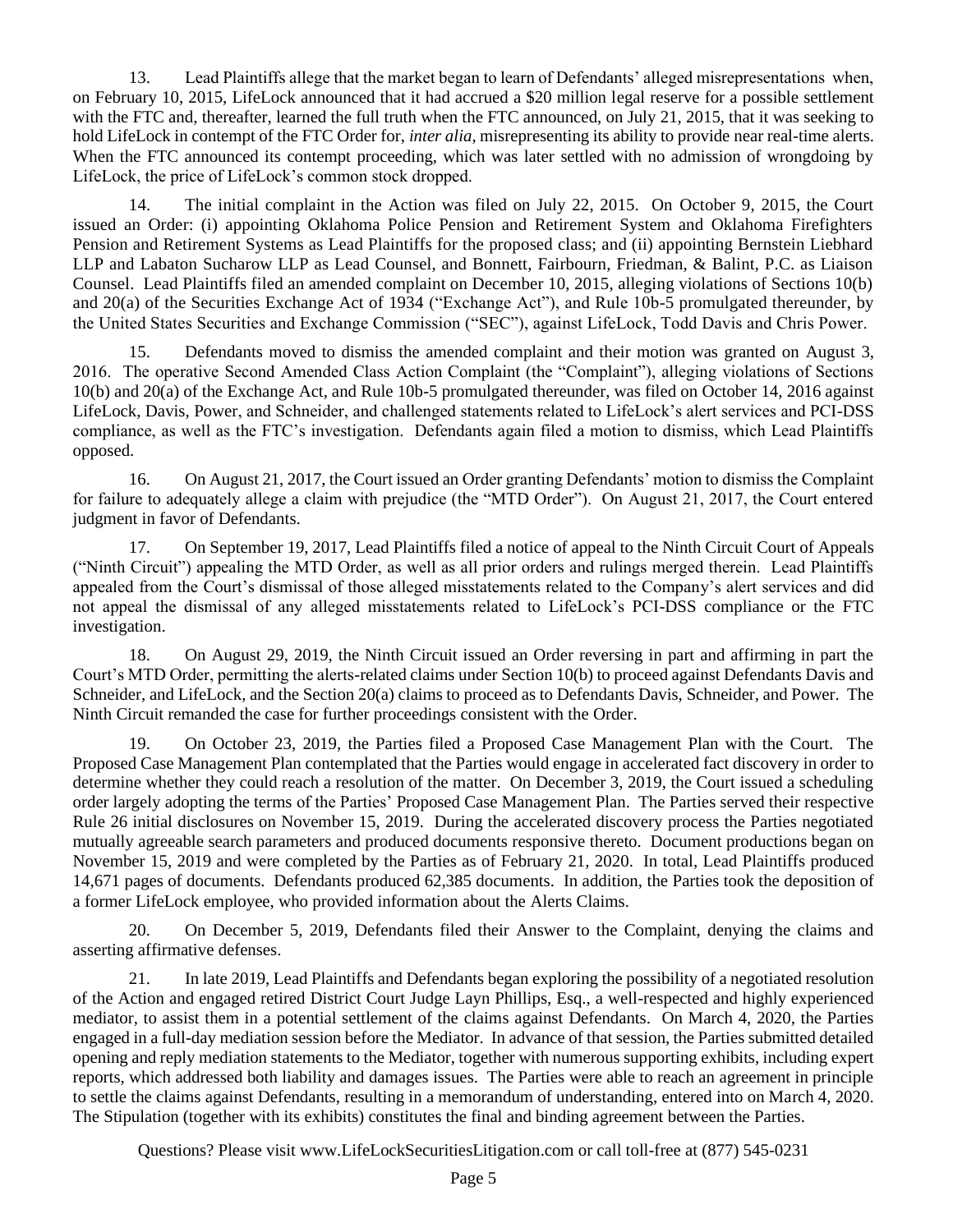13. Lead Plaintiffs allege that the market began to learn of Defendants' alleged misrepresentations when, on February 10, 2015, LifeLock announced that it had accrued a \$20 million legal reserve for a possible settlement with the FTC and, thereafter, learned the full truth when the FTC announced, on July 21, 2015, that it was seeking to hold LifeLock in contempt of the FTC Order for, *inter alia*, misrepresenting its ability to provide near real-time alerts. When the FTC announced its contempt proceeding, which was later settled with no admission of wrongdoing by LifeLock, the price of LifeLock's common stock dropped.

14. The initial complaint in the Action was filed on July 22, 2015. On October 9, 2015, the Court issued an Order: (i) appointing Oklahoma Police Pension and Retirement System and Oklahoma Firefighters Pension and Retirement Systems as Lead Plaintiffs for the proposed class; and (ii) appointing Bernstein Liebhard LLP and Labaton Sucharow LLP as Lead Counsel, and Bonnett, Fairbourn, Friedman, & Balint, P.C. as Liaison Counsel. Lead Plaintiffs filed an amended complaint on December 10, 2015, alleging violations of Sections 10(b) and 20(a) of the Securities Exchange Act of 1934 ("Exchange Act"), and Rule 10b-5 promulgated thereunder, by the United States Securities and Exchange Commission ("SEC"), against LifeLock, Todd Davis and Chris Power.

15. Defendants moved to dismiss the amended complaint and their motion was granted on August 3, 2016. The operative Second Amended Class Action Complaint (the "Complaint"), alleging violations of Sections 10(b) and 20(a) of the Exchange Act, and Rule 10b-5 promulgated thereunder, was filed on October 14, 2016 against LifeLock, Davis, Power, and Schneider, and challenged statements related to LifeLock's alert services and PCI-DSS compliance, as well as the FTC's investigation. Defendants again filed a motion to dismiss, which Lead Plaintiffs opposed.

16. On August 21, 2017, the Court issued an Order granting Defendants' motion to dismiss the Complaint for failure to adequately allege a claim with prejudice (the "MTD Order"). On August 21, 2017, the Court entered judgment in favor of Defendants.

17. On September 19, 2017, Lead Plaintiffs filed a notice of appeal to the Ninth Circuit Court of Appeals ("Ninth Circuit") appealing the MTD Order, as well as all prior orders and rulings merged therein. Lead Plaintiffs appealed from the Court's dismissal of those alleged misstatements related to the Company's alert services and did not appeal the dismissal of any alleged misstatements related to LifeLock's PCI-DSS compliance or the FTC investigation.

18. On August 29, 2019, the Ninth Circuit issued an Order reversing in part and affirming in part the Court's MTD Order, permitting the alerts-related claims under Section 10(b) to proceed against Defendants Davis and Schneider, and LifeLock, and the Section 20(a) claims to proceed as to Defendants Davis, Schneider, and Power. The Ninth Circuit remanded the case for further proceedings consistent with the Order.

19. On October 23, 2019, the Parties filed a Proposed Case Management Plan with the Court. The Proposed Case Management Plan contemplated that the Parties would engage in accelerated fact discovery in order to determine whether they could reach a resolution of the matter. On December 3, 2019, the Court issued a scheduling order largely adopting the terms of the Parties' Proposed Case Management Plan. The Parties served their respective Rule 26 initial disclosures on November 15, 2019. During the accelerated discovery process the Parties negotiated mutually agreeable search parameters and produced documents responsive thereto. Document productions began on November 15, 2019 and were completed by the Parties as of February 21, 2020. In total, Lead Plaintiffs produced 14,671 pages of documents. Defendants produced 62,385 documents. In addition, the Parties took the deposition of a former LifeLock employee, who provided information about the Alerts Claims.

20. On December 5, 2019, Defendants filed their Answer to the Complaint, denying the claims and asserting affirmative defenses.

21. In late 2019, Lead Plaintiffs and Defendants began exploring the possibility of a negotiated resolution of the Action and engaged retired District Court Judge Layn Phillips, Esq., a well-respected and highly experienced mediator, to assist them in a potential settlement of the claims against Defendants. On March 4, 2020, the Parties engaged in a full-day mediation session before the Mediator. In advance of that session, the Parties submitted detailed opening and reply mediation statements to the Mediator, together with numerous supporting exhibits, including expert reports, which addressed both liability and damages issues. The Parties were able to reach an agreement in principle to settle the claims against Defendants, resulting in a memorandum of understanding, entered into on March 4, 2020. The Stipulation (together with its exhibits) constitutes the final and binding agreement between the Parties.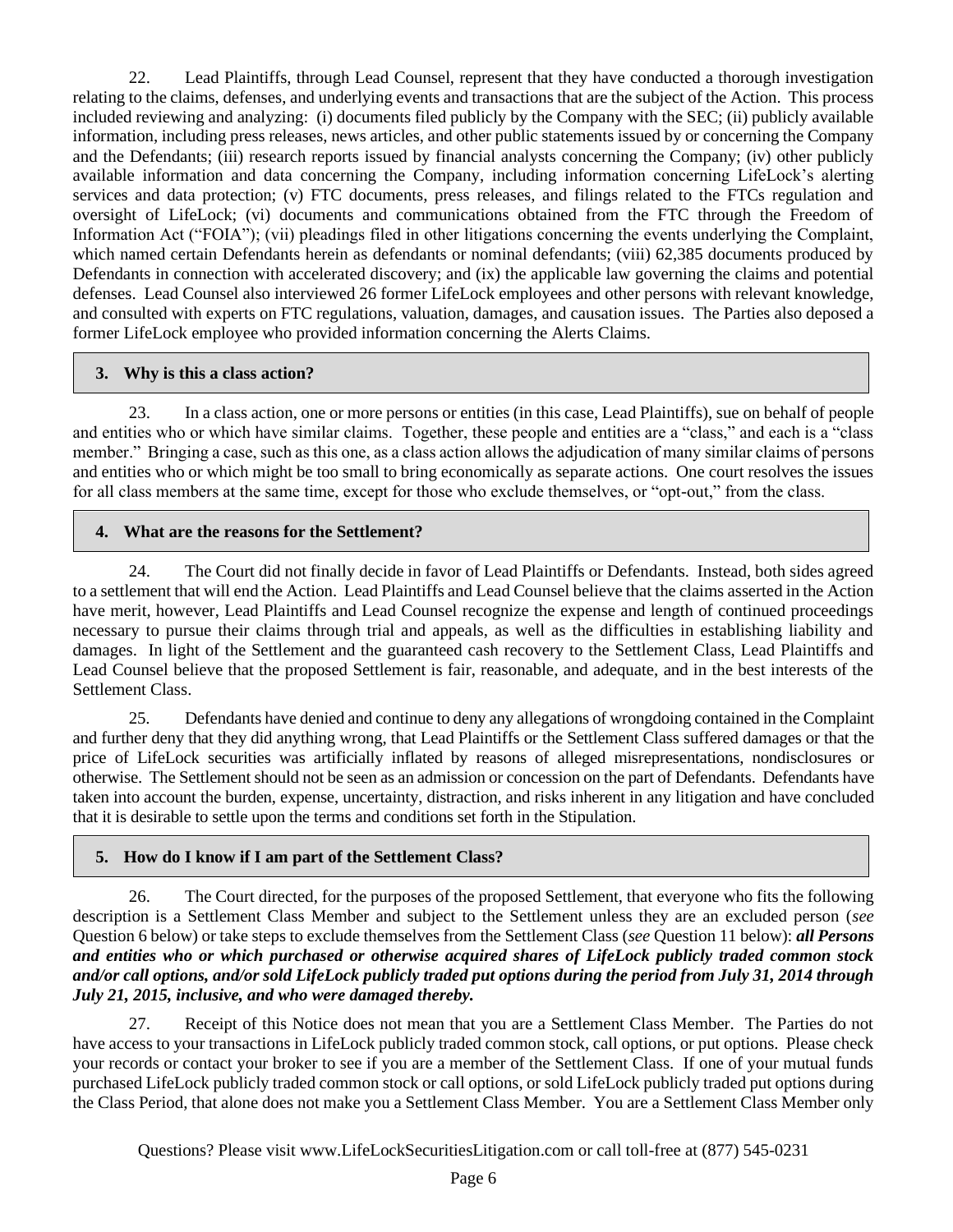22. Lead Plaintiffs, through Lead Counsel, represent that they have conducted a thorough investigation relating to the claims, defenses, and underlying events and transactions that are the subject of the Action. This process included reviewing and analyzing: (i) documents filed publicly by the Company with the SEC; (ii) publicly available information, including press releases, news articles, and other public statements issued by or concerning the Company and the Defendants; (iii) research reports issued by financial analysts concerning the Company; (iv) other publicly available information and data concerning the Company, including information concerning LifeLock's alerting services and data protection; (v) FTC documents, press releases, and filings related to the FTCs regulation and oversight of LifeLock; (vi) documents and communications obtained from the FTC through the Freedom of Information Act ("FOIA"); (vii) pleadings filed in other litigations concerning the events underlying the Complaint, which named certain Defendants herein as defendants or nominal defendants; (viii) 62,385 documents produced by Defendants in connection with accelerated discovery; and (ix) the applicable law governing the claims and potential defenses. Lead Counsel also interviewed 26 former LifeLock employees and other persons with relevant knowledge, and consulted with experts on FTC regulations, valuation, damages, and causation issues. The Parties also deposed a former LifeLock employee who provided information concerning the Alerts Claims.

#### **3. Why is this a class action?**

23. In a class action, one or more persons or entities (in this case, Lead Plaintiffs), sue on behalf of people and entities who or which have similar claims. Together, these people and entities are a "class," and each is a "class member." Bringing a case, such as this one, as a class action allows the adjudication of many similar claims of persons and entities who or which might be too small to bring economically as separate actions. One court resolves the issues for all class members at the same time, except for those who exclude themselves, or "opt-out," from the class.

#### **4. What are the reasons for the Settlement?**

24. The Court did not finally decide in favor of Lead Plaintiffs or Defendants. Instead, both sides agreed to a settlement that will end the Action. Lead Plaintiffs and Lead Counsel believe that the claims asserted in the Action have merit, however, Lead Plaintiffs and Lead Counsel recognize the expense and length of continued proceedings necessary to pursue their claims through trial and appeals, as well as the difficulties in establishing liability and damages. In light of the Settlement and the guaranteed cash recovery to the Settlement Class, Lead Plaintiffs and Lead Counsel believe that the proposed Settlement is fair, reasonable, and adequate, and in the best interests of the Settlement Class.

25. Defendants have denied and continue to deny any allegations of wrongdoing contained in the Complaint and further deny that they did anything wrong, that Lead Plaintiffs or the Settlement Class suffered damages or that the price of LifeLock securities was artificially inflated by reasons of alleged misrepresentations, nondisclosures or otherwise. The Settlement should not be seen as an admission or concession on the part of Defendants. Defendants have taken into account the burden, expense, uncertainty, distraction, and risks inherent in any litigation and have concluded that it is desirable to settle upon the terms and conditions set forth in the Stipulation.

## **5. How do I know if I am part of the Settlement Class?**

26. The Court directed, for the purposes of the proposed Settlement, that everyone who fits the following description is a Settlement Class Member and subject to the Settlement unless they are an excluded person (*see* Question 6 below) or take steps to exclude themselves from the Settlement Class (*see* Question 11 below): *all Persons and entities who or which purchased or otherwise acquired shares of LifeLock publicly traded common stock and/or call options, and/or sold LifeLock publicly traded put options during the period from July 31, 2014 through July 21, 2015, inclusive, and who were damaged thereby.* 

27. Receipt of this Notice does not mean that you are a Settlement Class Member. The Parties do not have access to your transactions in LifeLock publicly traded common stock, call options, or put options. Please check your records or contact your broker to see if you are a member of the Settlement Class. If one of your mutual funds purchased LifeLock publicly traded common stock or call options, or sold LifeLock publicly traded put options during the Class Period, that alone does not make you a Settlement Class Member. You are a Settlement Class Member only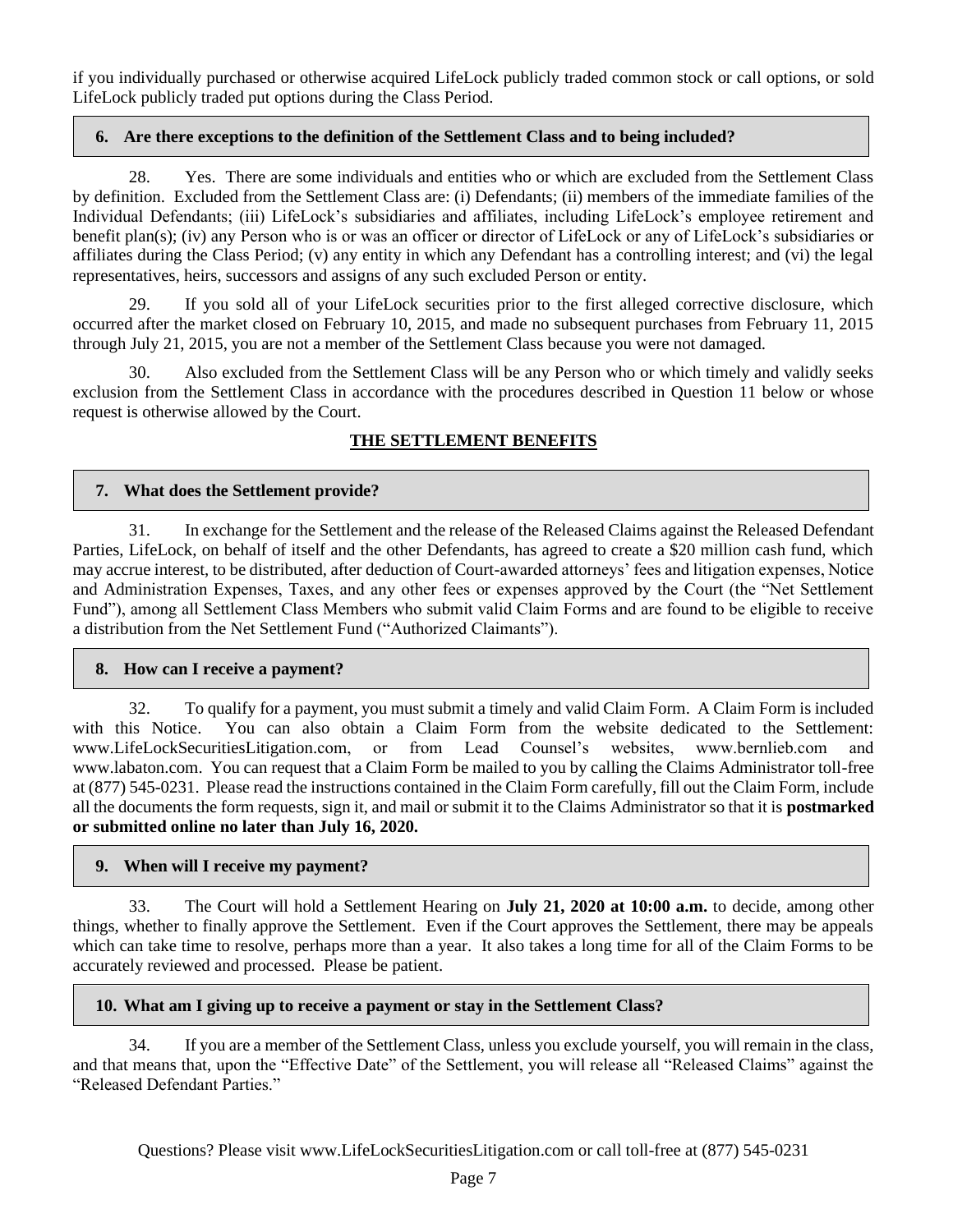if you individually purchased or otherwise acquired LifeLock publicly traded common stock or call options, or sold LifeLock publicly traded put options during the Class Period.

#### **6. Are there exceptions to the definition of the Settlement Class and to being included?**

28. Yes. There are some individuals and entities who or which are excluded from the Settlement Class by definition. Excluded from the Settlement Class are: (i) Defendants; (ii) members of the immediate families of the Individual Defendants; (iii) LifeLock's subsidiaries and affiliates, including LifeLock's employee retirement and benefit plan(s); (iv) any Person who is or was an officer or director of LifeLock or any of LifeLock's subsidiaries or affiliates during the Class Period; (v) any entity in which any Defendant has a controlling interest; and (vi) the legal representatives, heirs, successors and assigns of any such excluded Person or entity.

29. If you sold all of your LifeLock securities prior to the first alleged corrective disclosure, which occurred after the market closed on February 10, 2015, and made no subsequent purchases from February 11, 2015 through July 21, 2015, you are not a member of the Settlement Class because you were not damaged.

30. Also excluded from the Settlement Class will be any Person who or which timely and validly seeks exclusion from the Settlement Class in accordance with the procedures described in Question 11 below or whose request is otherwise allowed by the Court.

# **THE SETTLEMENT BENEFITS**

## **7. What does the Settlement provide?**

31. In exchange for the Settlement and the release of the Released Claims against the Released Defendant Parties, LifeLock, on behalf of itself and the other Defendants, has agreed to create a \$20 million cash fund, which may accrue interest, to be distributed, after deduction of Court-awarded attorneys' fees and litigation expenses, Notice and Administration Expenses, Taxes, and any other fees or expenses approved by the Court (the "Net Settlement Fund"), among all Settlement Class Members who submit valid Claim Forms and are found to be eligible to receive a distribution from the Net Settlement Fund ("Authorized Claimants").

## **8. How can I receive a payment?**

32. To qualify for a payment, you must submit a timely and valid Claim Form. A Claim Form is included with this Notice. You can also obtain a Claim Form from the website dedicated to the Settlement: www.LifeLockSecuritiesLitigation.com, or from Lead Counsel's websites, www.bernlieb.com and www.labaton.com. You can request that a Claim Form be mailed to you by calling the Claims Administrator toll-free at (877) 545-0231. Please read the instructions contained in the Claim Form carefully, fill out the Claim Form, include all the documents the form requests, sign it, and mail or submit it to the Claims Administrator so that it is **postmarked or submitted online no later than July 16, 2020.**

#### **9. When will I receive my payment?**

33. The Court will hold a Settlement Hearing on **July 21, 2020 at 10:00 a.m.** to decide, among other things, whether to finally approve the Settlement. Even if the Court approves the Settlement, there may be appeals which can take time to resolve, perhaps more than a year. It also takes a long time for all of the Claim Forms to be accurately reviewed and processed. Please be patient.

## **10. What am I giving up to receive a payment or stay in the Settlement Class?**

34. If you are a member of the Settlement Class, unless you exclude yourself, you will remain in the class, and that means that, upon the "Effective Date" of the Settlement, you will release all "Released Claims" against the "Released Defendant Parties."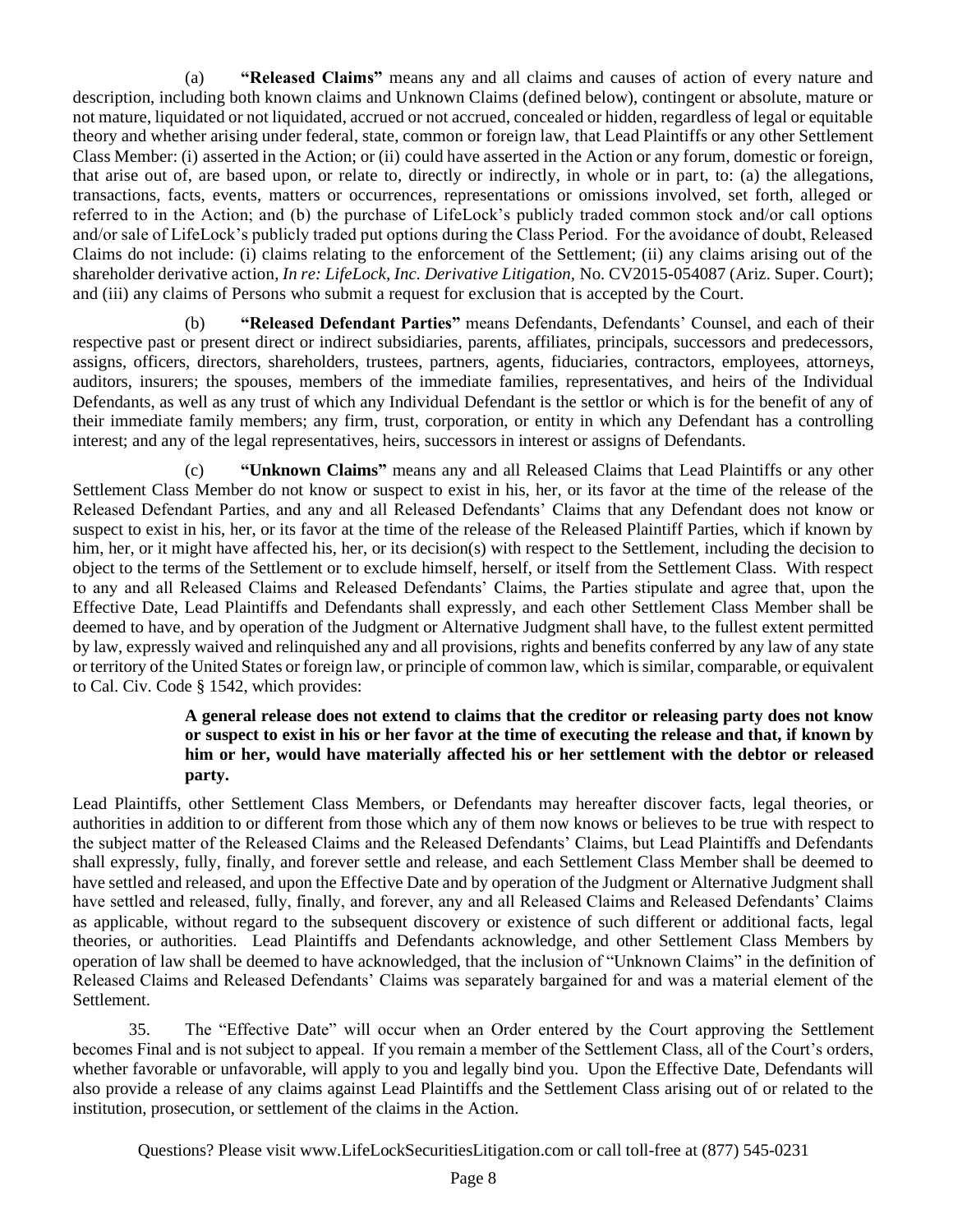(a) **"Released Claims"** means any and all claims and causes of action of every nature and description, including both known claims and Unknown Claims (defined below), contingent or absolute, mature or not mature, liquidated or not liquidated, accrued or not accrued, concealed or hidden, regardless of legal or equitable theory and whether arising under federal, state, common or foreign law, that Lead Plaintiffs or any other Settlement Class Member: (i) asserted in the Action; or (ii) could have asserted in the Action or any forum, domestic or foreign, that arise out of, are based upon, or relate to, directly or indirectly, in whole or in part, to: (a) the allegations, transactions, facts, events, matters or occurrences, representations or omissions involved, set forth, alleged or referred to in the Action; and (b) the purchase of LifeLock's publicly traded common stock and/or call options and/or sale of LifeLock's publicly traded put options during the Class Period. For the avoidance of doubt, Released Claims do not include: (i) claims relating to the enforcement of the Settlement; (ii) any claims arising out of the shareholder derivative action, *In re: LifeLock, Inc. Derivative Litigation,* No. CV2015-054087 (Ariz. Super. Court); and (iii) any claims of Persons who submit a request for exclusion that is accepted by the Court.

(b) **"Released Defendant Parties"** means Defendants, Defendants' Counsel, and each of their respective past or present direct or indirect subsidiaries, parents, affiliates, principals, successors and predecessors, assigns, officers, directors, shareholders, trustees, partners, agents, fiduciaries, contractors, employees, attorneys, auditors, insurers; the spouses, members of the immediate families, representatives, and heirs of the Individual Defendants, as well as any trust of which any Individual Defendant is the settlor or which is for the benefit of any of their immediate family members; any firm, trust, corporation, or entity in which any Defendant has a controlling interest; and any of the legal representatives, heirs, successors in interest or assigns of Defendants.

(c) **"Unknown Claims"** means any and all Released Claims that Lead Plaintiffs or any other Settlement Class Member do not know or suspect to exist in his, her, or its favor at the time of the release of the Released Defendant Parties, and any and all Released Defendants' Claims that any Defendant does not know or suspect to exist in his, her, or its favor at the time of the release of the Released Plaintiff Parties, which if known by him, her, or it might have affected his, her, or its decision(s) with respect to the Settlement, including the decision to object to the terms of the Settlement or to exclude himself, herself, or itself from the Settlement Class. With respect to any and all Released Claims and Released Defendants' Claims, the Parties stipulate and agree that, upon the Effective Date, Lead Plaintiffs and Defendants shall expressly, and each other Settlement Class Member shall be deemed to have, and by operation of the Judgment or Alternative Judgment shall have, to the fullest extent permitted by law, expressly waived and relinquished any and all provisions, rights and benefits conferred by any law of any state or territory of the United States or foreign law, or principle of common law, which is similar, comparable, or equivalent to Cal. Civ. Code § 1542, which provides:

#### **A general release does not extend to claims that the creditor or releasing party does not know or suspect to exist in his or her favor at the time of executing the release and that, if known by him or her, would have materially affected his or her settlement with the debtor or released party.**

Lead Plaintiffs, other Settlement Class Members, or Defendants may hereafter discover facts, legal theories, or authorities in addition to or different from those which any of them now knows or believes to be true with respect to the subject matter of the Released Claims and the Released Defendants' Claims, but Lead Plaintiffs and Defendants shall expressly, fully, finally, and forever settle and release, and each Settlement Class Member shall be deemed to have settled and released, and upon the Effective Date and by operation of the Judgment or Alternative Judgment shall have settled and released, fully, finally, and forever, any and all Released Claims and Released Defendants' Claims as applicable, without regard to the subsequent discovery or existence of such different or additional facts, legal theories, or authorities. Lead Plaintiffs and Defendants acknowledge, and other Settlement Class Members by operation of law shall be deemed to have acknowledged, that the inclusion of "Unknown Claims" in the definition of Released Claims and Released Defendants' Claims was separately bargained for and was a material element of the Settlement.

35. The "Effective Date" will occur when an Order entered by the Court approving the Settlement becomes Final and is not subject to appeal. If you remain a member of the Settlement Class, all of the Court's orders, whether favorable or unfavorable, will apply to you and legally bind you. Upon the Effective Date, Defendants will also provide a release of any claims against Lead Plaintiffs and the Settlement Class arising out of or related to the institution, prosecution, or settlement of the claims in the Action.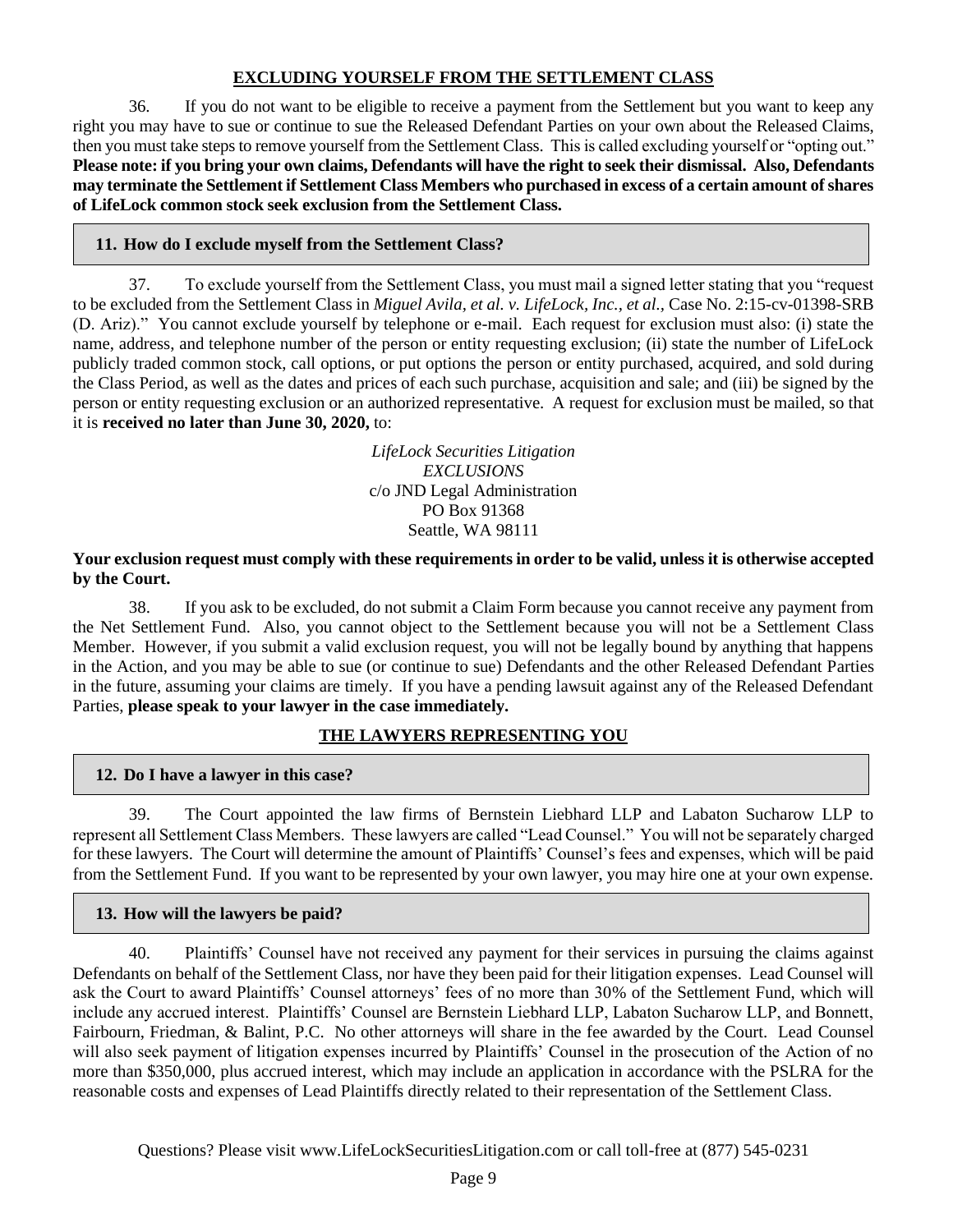## **EXCLUDING YOURSELF FROM THE SETTLEMENT CLASS**

36. If you do not want to be eligible to receive a payment from the Settlement but you want to keep any right you may have to sue or continue to sue the Released Defendant Parties on your own about the Released Claims, then you must take steps to remove yourself from the Settlement Class. This is called excluding yourself or "opting out." **Please note: if you bring your own claims, Defendants will have the right to seek their dismissal. Also, Defendants may terminate the Settlement if Settlement Class Members who purchased in excess of a certain amount of shares of LifeLock common stock seek exclusion from the Settlement Class.**

## **11. How do I exclude myself from the Settlement Class?**

37. To exclude yourself from the Settlement Class, you must mail a signed letter stating that you "request to be excluded from the Settlement Class in *Miguel Avila, et al. v. LifeLock, Inc., et al.,* Case No. 2:15-cv-01398-SRB (D. Ariz)." You cannot exclude yourself by telephone or e-mail. Each request for exclusion must also: (i) state the name, address, and telephone number of the person or entity requesting exclusion; (ii) state the number of LifeLock publicly traded common stock, call options, or put options the person or entity purchased, acquired, and sold during the Class Period, as well as the dates and prices of each such purchase, acquisition and sale; and (iii) be signed by the person or entity requesting exclusion or an authorized representative. A request for exclusion must be mailed, so that it is **received no later than June 30, 2020,** to:

> *LifeLock Securities Litigation EXCLUSIONS* c/o JND Legal Administration PO Box 91368 Seattle, WA 98111

#### **Your exclusion request must comply with these requirements in order to be valid, unless it is otherwise accepted by the Court.**

38. If you ask to be excluded, do not submit a Claim Form because you cannot receive any payment from the Net Settlement Fund. Also, you cannot object to the Settlement because you will not be a Settlement Class Member. However, if you submit a valid exclusion request, you will not be legally bound by anything that happens in the Action, and you may be able to sue (or continue to sue) Defendants and the other Released Defendant Parties in the future, assuming your claims are timely. If you have a pending lawsuit against any of the Released Defendant Parties, **please speak to your lawyer in the case immediately.**

# **THE LAWYERS REPRESENTING YOU**

## **12. Do I have a lawyer in this case?**

39. The Court appointed the law firms of Bernstein Liebhard LLP and Labaton Sucharow LLP to represent all Settlement Class Members. These lawyers are called "Lead Counsel." You will not be separately charged for these lawyers. The Court will determine the amount of Plaintiffs' Counsel's fees and expenses, which will be paid from the Settlement Fund. If you want to be represented by your own lawyer, you may hire one at your own expense.

## **13. How will the lawyers be paid?**

40. Plaintiffs' Counsel have not received any payment for their services in pursuing the claims against Defendants on behalf of the Settlement Class, nor have they been paid for their litigation expenses. Lead Counsel will ask the Court to award Plaintiffs' Counsel attorneys' fees of no more than 30% of the Settlement Fund, which will include any accrued interest. Plaintiffs' Counsel are Bernstein Liebhard LLP, Labaton Sucharow LLP, and Bonnett, Fairbourn, Friedman, & Balint, P.C. No other attorneys will share in the fee awarded by the Court. Lead Counsel will also seek payment of litigation expenses incurred by Plaintiffs' Counsel in the prosecution of the Action of no more than \$350,000, plus accrued interest, which may include an application in accordance with the PSLRA for the reasonable costs and expenses of Lead Plaintiffs directly related to their representation of the Settlement Class.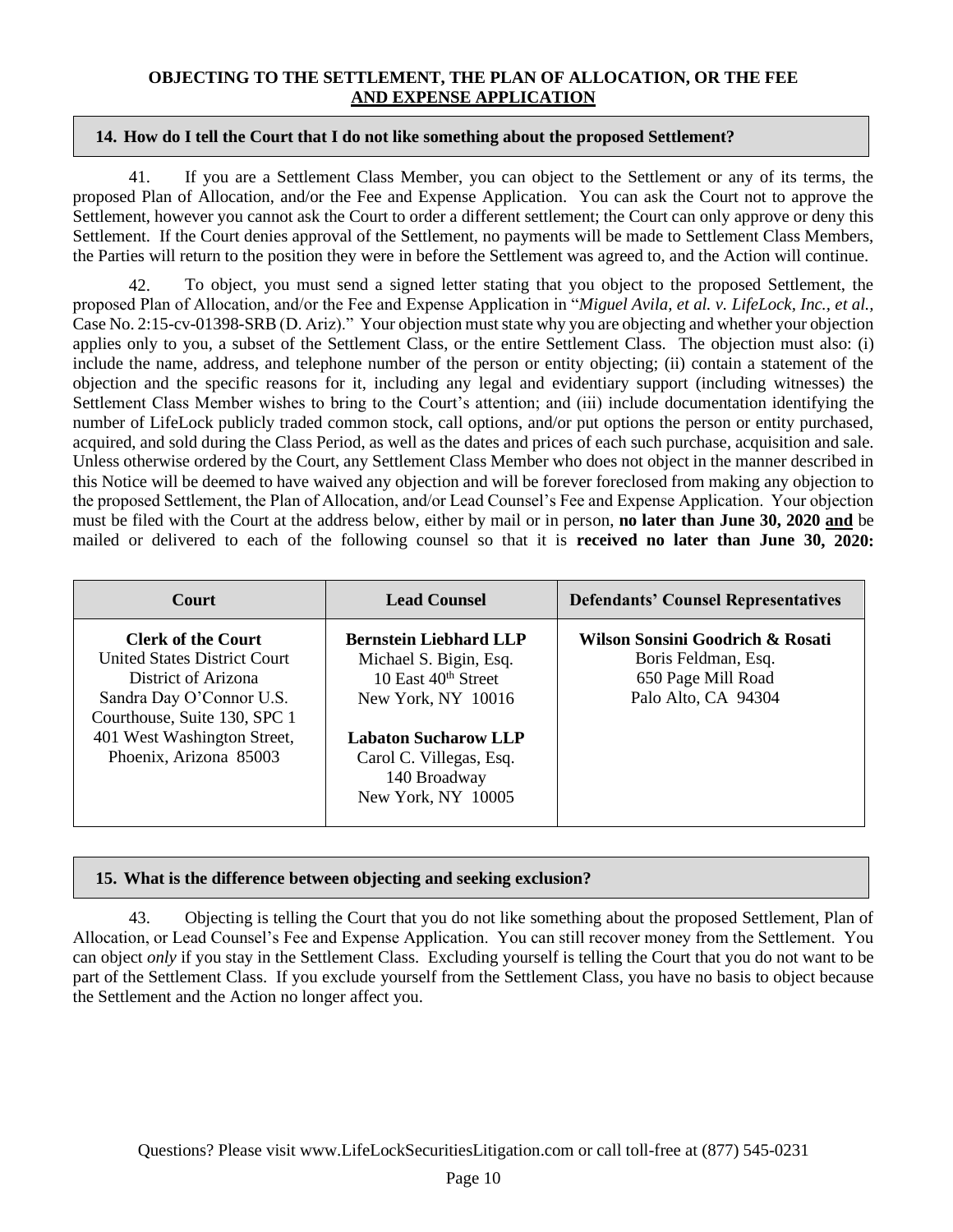#### **OBJECTING TO THE SETTLEMENT, THE PLAN OF ALLOCATION, OR THE FEE AND EXPENSE APPLICATION**

#### **14. How do I tell the Court that I do not like something about the proposed Settlement?**

41. If you are a Settlement Class Member, you can object to the Settlement or any of its terms, the proposed Plan of Allocation, and/or the Fee and Expense Application. You can ask the Court not to approve the Settlement, however you cannot ask the Court to order a different settlement; the Court can only approve or deny this Settlement. If the Court denies approval of the Settlement, no payments will be made to Settlement Class Members, the Parties will return to the position they were in before the Settlement was agreed to, and the Action will continue.

42. To object, you must send a signed letter stating that you object to the proposed Settlement, the proposed Plan of Allocation, and/or the Fee and Expense Application in "*Miguel Avila, et al. v. LifeLock, Inc., et al.,*  Case No. 2:15-cv-01398-SRB (D. Ariz)." Your objection must state why you are objecting and whether your objection applies only to you, a subset of the Settlement Class, or the entire Settlement Class. The objection must also: (i) include the name, address, and telephone number of the person or entity objecting; (ii) contain a statement of the objection and the specific reasons for it, including any legal and evidentiary support (including witnesses) the Settlement Class Member wishes to bring to the Court's attention; and (iii) include documentation identifying the number of LifeLock publicly traded common stock, call options, and/or put options the person or entity purchased, acquired, and sold during the Class Period, as well as the dates and prices of each such purchase, acquisition and sale. Unless otherwise ordered by the Court, any Settlement Class Member who does not object in the manner described in this Notice will be deemed to have waived any objection and will be forever foreclosed from making any objection to the proposed Settlement, the Plan of Allocation, and/or Lead Counsel's Fee and Expense Application. Your objection must be filed with the Court at the address below, either by mail or in person, **no later than June 30, 2020 and** be mailed or delivered to each of the following counsel so that it is **received no later than June 30, 2020:**

| <b>Court</b>                                                                                                                                                                                                  | <b>Lead Counsel</b>                                                                                                                                                                                              | <b>Defendants' Counsel Representatives</b>                                                           |
|---------------------------------------------------------------------------------------------------------------------------------------------------------------------------------------------------------------|------------------------------------------------------------------------------------------------------------------------------------------------------------------------------------------------------------------|------------------------------------------------------------------------------------------------------|
| <b>Clerk of the Court</b><br><b>United States District Court.</b><br>District of Arizona<br>Sandra Day O'Connor U.S.<br>Courthouse, Suite 130, SPC 1<br>401 West Washington Street,<br>Phoenix, Arizona 85003 | <b>Bernstein Liebhard LLP</b><br>Michael S. Bigin, Esq.<br>10 East 40 <sup>th</sup> Street<br>New York, NY 10016<br><b>Labaton Sucharow LLP</b><br>Carol C. Villegas, Esq.<br>140 Broadway<br>New York, NY 10005 | Wilson Sonsini Goodrich & Rosati<br>Boris Feldman, Esq.<br>650 Page Mill Road<br>Palo Alto, CA 94304 |

## **15. What is the difference between objecting and seeking exclusion?**

43. Objecting is telling the Court that you do not like something about the proposed Settlement, Plan of Allocation, or Lead Counsel's Fee and Expense Application. You can still recover money from the Settlement. You can object *only* if you stay in the Settlement Class. Excluding yourself is telling the Court that you do not want to be part of the Settlement Class. If you exclude yourself from the Settlement Class, you have no basis to object because the Settlement and the Action no longer affect you.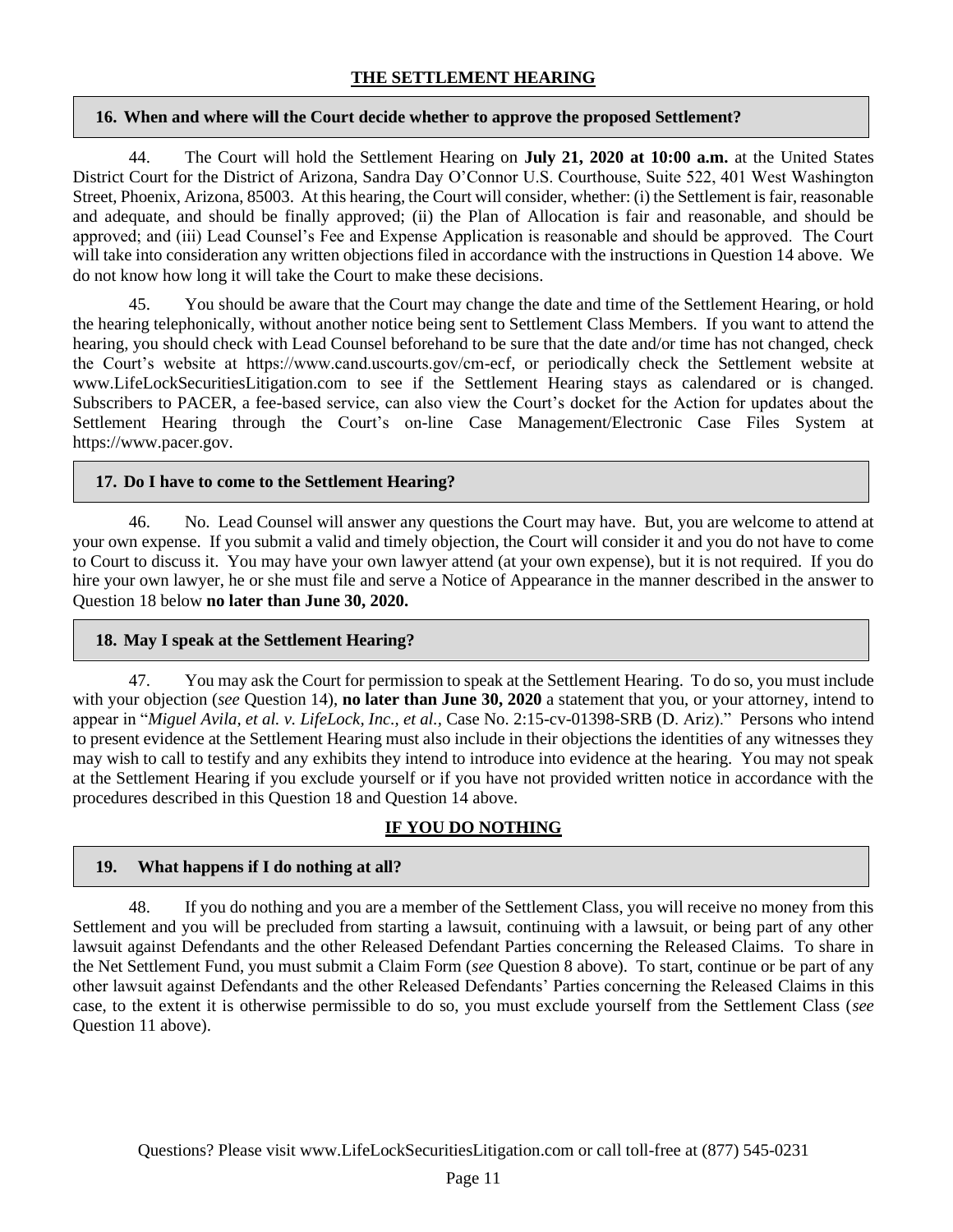#### **16. When and where will the Court decide whether to approve the proposed Settlement?**

44. The Court will hold the Settlement Hearing on **July 21, 2020 at 10:00 a.m.** at the United States District Court for the District of Arizona, Sandra Day O'Connor U.S. Courthouse, Suite 522, 401 West Washington Street, Phoenix, Arizona, 85003. At this hearing, the Court will consider, whether: (i) the Settlement is fair, reasonable and adequate, and should be finally approved; (ii) the Plan of Allocation is fair and reasonable, and should be approved; and (iii) Lead Counsel's Fee and Expense Application is reasonable and should be approved. The Court will take into consideration any written objections filed in accordance with the instructions in Question 14 above. We do not know how long it will take the Court to make these decisions.

45. You should be aware that the Court may change the date and time of the Settlement Hearing, or hold the hearing telephonically, without another notice being sent to Settlement Class Members. If you want to attend the hearing, you should check with Lead Counsel beforehand to be sure that the date and/or time has not changed, check the Court's website at https://www.cand.uscourts.gov/cm-ecf, or periodically check the Settlement website at www.LifeLockSecuritiesLitigation.com to see if the Settlement Hearing stays as calendared or is changed. Subscribers to PACER, a fee-based service, can also view the Court's docket for the Action for updates about the Settlement Hearing through the Court's on-line Case Management/Electronic Case Files System at https://www.pacer.gov.

## **17. Do I have to come to the Settlement Hearing?**

46. No. Lead Counsel will answer any questions the Court may have. But, you are welcome to attend at your own expense. If you submit a valid and timely objection, the Court will consider it and you do not have to come to Court to discuss it. You may have your own lawyer attend (at your own expense), but it is not required. If you do hire your own lawyer, he or she must file and serve a Notice of Appearance in the manner described in the answer to Question 18 below **no later than June 30, 2020.**

## **18. May I speak at the Settlement Hearing?**

47. You may ask the Court for permission to speak at the Settlement Hearing. To do so, you must include with your objection (*see* Question 14), **no later than June 30, 2020** a statement that you, or your attorney, intend to appear in "*Miguel Avila, et al. v. LifeLock, Inc., et al.,* Case No. 2:15-cv-01398-SRB (D. Ariz)." Persons who intend to present evidence at the Settlement Hearing must also include in their objections the identities of any witnesses they may wish to call to testify and any exhibits they intend to introduce into evidence at the hearing. You may not speak at the Settlement Hearing if you exclude yourself or if you have not provided written notice in accordance with the procedures described in this Question 18 and Question 14 above.

# **IF YOU DO NOTHING**

## **19. What happens if I do nothing at all?**

48. If you do nothing and you are a member of the Settlement Class, you will receive no money from this Settlement and you will be precluded from starting a lawsuit, continuing with a lawsuit, or being part of any other lawsuit against Defendants and the other Released Defendant Parties concerning the Released Claims. To share in the Net Settlement Fund, you must submit a Claim Form (*see* Question 8 above). To start, continue or be part of any other lawsuit against Defendants and the other Released Defendants' Parties concerning the Released Claims in this case, to the extent it is otherwise permissible to do so, you must exclude yourself from the Settlement Class (*see*  Question 11 above).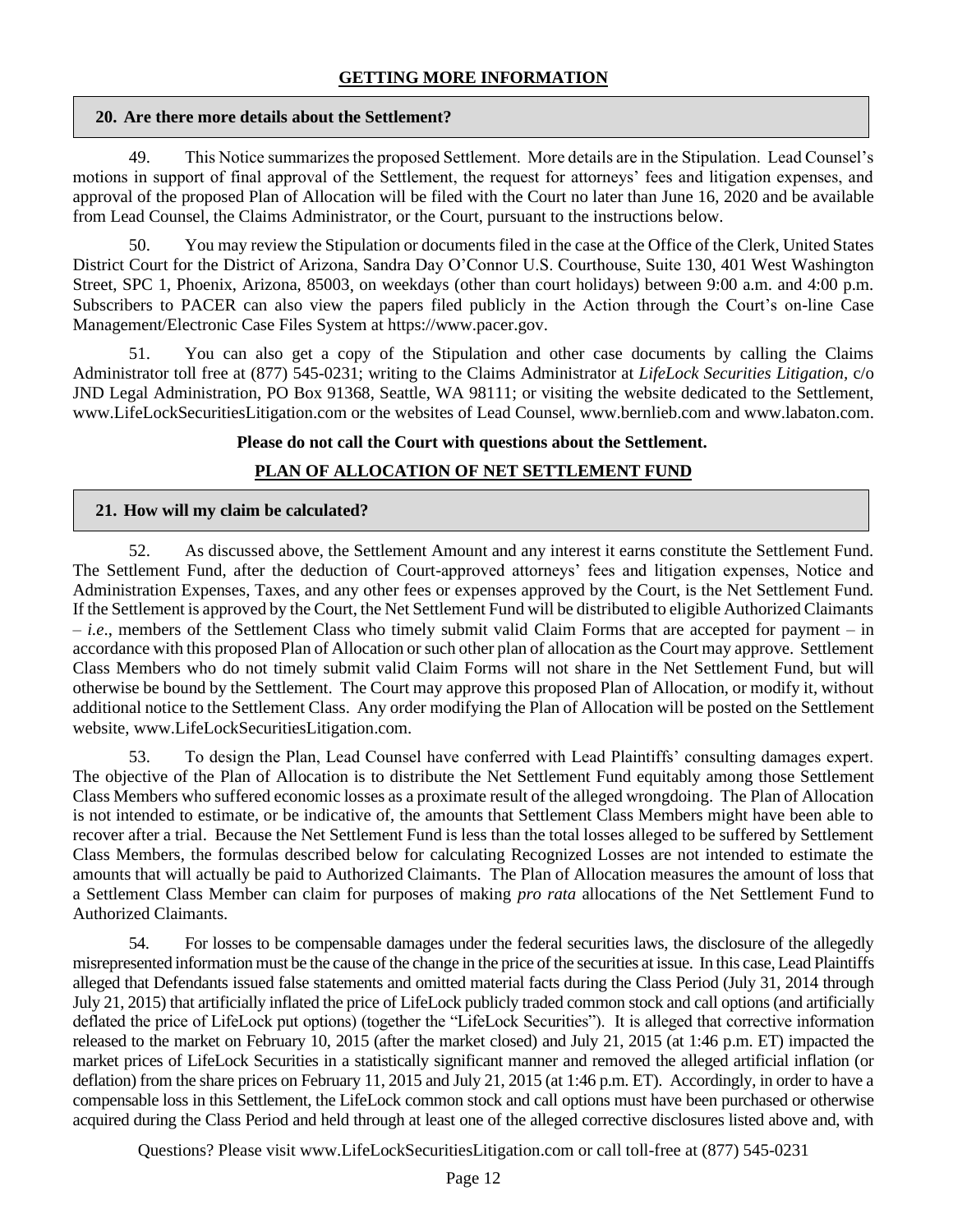## **GETTING MORE INFORMATION**

#### **20. Are there more details about the Settlement?**

49. This Notice summarizes the proposed Settlement. More details are in the Stipulation. Lead Counsel's motions in support of final approval of the Settlement, the request for attorneys' fees and litigation expenses, and approval of the proposed Plan of Allocation will be filed with the Court no later than June 16, 2020 and be available from Lead Counsel, the Claims Administrator, or the Court, pursuant to the instructions below.

50. You may review the Stipulation or documents filed in the case at the Office of the Clerk, United States District Court for the District of Arizona, Sandra Day O'Connor U.S. Courthouse, Suite 130, 401 West Washington Street, SPC 1, Phoenix, Arizona, 85003, on weekdays (other than court holidays) between 9:00 a.m. and 4:00 p.m. Subscribers to PACER can also view the papers filed publicly in the Action through the Court's on-line Case Management/Electronic Case Files System at https://www.pacer.gov.

51. You can also get a copy of the Stipulation and other case documents by calling the Claims Administrator toll free at (877) 545-0231; writing to the Claims Administrator at *LifeLock Securities Litigation,* c/o JND Legal Administration, PO Box 91368, Seattle, WA 98111; or visiting the website dedicated to the Settlement, www.LifeLockSecuritiesLitigation.com or the websites of Lead Counsel, www.bernlieb.com and www.labaton.com.

#### **Please do not call the Court with questions about the Settlement.**

## **PLAN OF ALLOCATION OF NET SETTLEMENT FUND**

#### **21. How will my claim be calculated?**

52. As discussed above, the Settlement Amount and any interest it earns constitute the Settlement Fund. The Settlement Fund, after the deduction of Court-approved attorneys' fees and litigation expenses, Notice and Administration Expenses, Taxes, and any other fees or expenses approved by the Court, is the Net Settlement Fund. If the Settlement is approved by the Court, the Net Settlement Fund will be distributed to eligible Authorized Claimants – *i.e*., members of the Settlement Class who timely submit valid Claim Forms that are accepted for payment – in accordance with this proposed Plan of Allocation or such other plan of allocation as the Court may approve. Settlement Class Members who do not timely submit valid Claim Forms will not share in the Net Settlement Fund, but will otherwise be bound by the Settlement. The Court may approve this proposed Plan of Allocation, or modify it, without additional notice to the Settlement Class. Any order modifying the Plan of Allocation will be posted on the Settlement website, www.LifeLockSecuritiesLitigation.com.

53. To design the Plan, Lead Counsel have conferred with Lead Plaintiffs' consulting damages expert. The objective of the Plan of Allocation is to distribute the Net Settlement Fund equitably among those Settlement Class Members who suffered economic losses as a proximate result of the alleged wrongdoing. The Plan of Allocation is not intended to estimate, or be indicative of, the amounts that Settlement Class Members might have been able to recover after a trial. Because the Net Settlement Fund is less than the total losses alleged to be suffered by Settlement Class Members, the formulas described below for calculating Recognized Losses are not intended to estimate the amounts that will actually be paid to Authorized Claimants. The Plan of Allocation measures the amount of loss that a Settlement Class Member can claim for purposes of making *pro rata* allocations of the Net Settlement Fund to Authorized Claimants.

54. For losses to be compensable damages under the federal securities laws, the disclosure of the allegedly misrepresented information must be the cause of the change in the price of the securities at issue. In this case, Lead Plaintiffs alleged that Defendants issued false statements and omitted material facts during the Class Period (July 31, 2014 through July 21, 2015) that artificially inflated the price of LifeLock publicly traded common stock and call options (and artificially deflated the price of LifeLock put options) (together the "LifeLock Securities"). It is alleged that corrective information released to the market on February 10, 2015 (after the market closed) and July 21, 2015 (at 1:46 p.m. ET) impacted the market prices of LifeLock Securities in a statistically significant manner and removed the alleged artificial inflation (or deflation) from the share prices on February 11, 2015 and July 21, 2015 (at 1:46 p.m. ET). Accordingly, in order to have a compensable loss in this Settlement, the LifeLock common stock and call options must have been purchased or otherwise acquired during the Class Period and held through at least one of the alleged corrective disclosures listed above and, with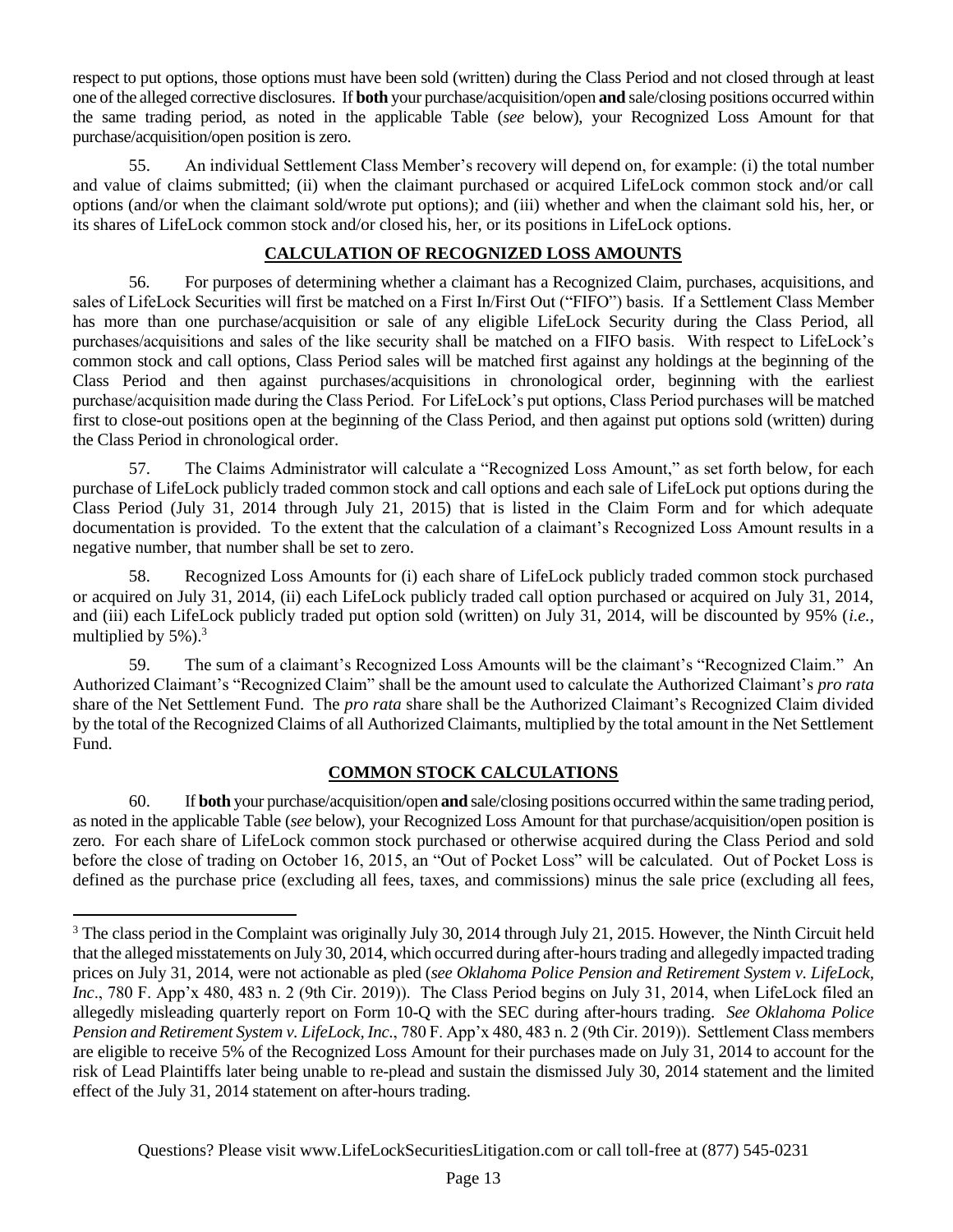respect to put options, those options must have been sold (written) during the Class Period and not closed through at least one of the alleged corrective disclosures. If **both** your purchase/acquisition/open **and** sale/closing positions occurred within the same trading period, as noted in the applicable Table (*see* below), your Recognized Loss Amount for that purchase/acquisition/open position is zero.

55. An individual Settlement Class Member's recovery will depend on, for example: (i) the total number and value of claims submitted; (ii) when the claimant purchased or acquired LifeLock common stock and/or call options (and/or when the claimant sold/wrote put options); and (iii) whether and when the claimant sold his, her, or its shares of LifeLock common stock and/or closed his, her, or its positions in LifeLock options.

## **CALCULATION OF RECOGNIZED LOSS AMOUNTS**

56. For purposes of determining whether a claimant has a Recognized Claim, purchases, acquisitions, and sales of LifeLock Securities will first be matched on a First In/First Out ("FIFO") basis. If a Settlement Class Member has more than one purchase/acquisition or sale of any eligible LifeLock Security during the Class Period, all purchases/acquisitions and sales of the like security shall be matched on a FIFO basis. With respect to LifeLock's common stock and call options, Class Period sales will be matched first against any holdings at the beginning of the Class Period and then against purchases/acquisitions in chronological order, beginning with the earliest purchase/acquisition made during the Class Period. For LifeLock's put options, Class Period purchases will be matched first to close-out positions open at the beginning of the Class Period, and then against put options sold (written) during the Class Period in chronological order.

57. The Claims Administrator will calculate a "Recognized Loss Amount," as set forth below, for each purchase of LifeLock publicly traded common stock and call options and each sale of LifeLock put options during the Class Period (July 31, 2014 through July 21, 2015) that is listed in the Claim Form and for which adequate documentation is provided. To the extent that the calculation of a claimant's Recognized Loss Amount results in a negative number, that number shall be set to zero.

58. Recognized Loss Amounts for (i) each share of LifeLock publicly traded common stock purchased or acquired on July 31, 2014, (ii) each LifeLock publicly traded call option purchased or acquired on July 31, 2014, and (iii) each LifeLock publicly traded put option sold (written) on July 31, 2014, will be discounted by 95% (*i.e.,* multiplied by  $5\%$ ).<sup>3</sup>

59. The sum of a claimant's Recognized Loss Amounts will be the claimant's "Recognized Claim." An Authorized Claimant's "Recognized Claim" shall be the amount used to calculate the Authorized Claimant's *pro rata*  share of the Net Settlement Fund. The *pro rata* share shall be the Authorized Claimant's Recognized Claim divided by the total of the Recognized Claims of all Authorized Claimants, multiplied by the total amount in the Net Settlement Fund.

## **COMMON STOCK CALCULATIONS**

60. If **both** your purchase/acquisition/open **and** sale/closing positions occurred within the same trading period, as noted in the applicable Table (*see* below), your Recognized Loss Amount for that purchase/acquisition/open position is zero. For each share of LifeLock common stock purchased or otherwise acquired during the Class Period and sold before the close of trading on October 16, 2015, an "Out of Pocket Loss" will be calculated. Out of Pocket Loss is defined as the purchase price (excluding all fees, taxes, and commissions) minus the sale price (excluding all fees,

<sup>&</sup>lt;sup>3</sup> The class period in the Complaint was originally July 30, 2014 through July 21, 2015. However, the Ninth Circuit held that the alleged misstatements on July 30, 2014, which occurred during after-hours trading and allegedly impacted trading prices on July 31, 2014, were not actionable as pled (*see Oklahoma Police Pension and Retirement System v. LifeLock, Inc*., 780 F. App'x 480, 483 n. 2 (9th Cir. 2019)). The Class Period begins on July 31, 2014, when LifeLock filed an allegedly misleading quarterly report on Form 10-Q with the SEC during after-hours trading. *See Oklahoma Police Pension and Retirement System v. LifeLock, Inc.*, 780 F. App'x 480, 483 n. 2 (9th Cir. 2019)). Settlement Class members are eligible to receive 5% of the Recognized Loss Amount for their purchases made on July 31, 2014 to account for the risk of Lead Plaintiffs later being unable to re-plead and sustain the dismissed July 30, 2014 statement and the limited effect of the July 31, 2014 statement on after-hours trading.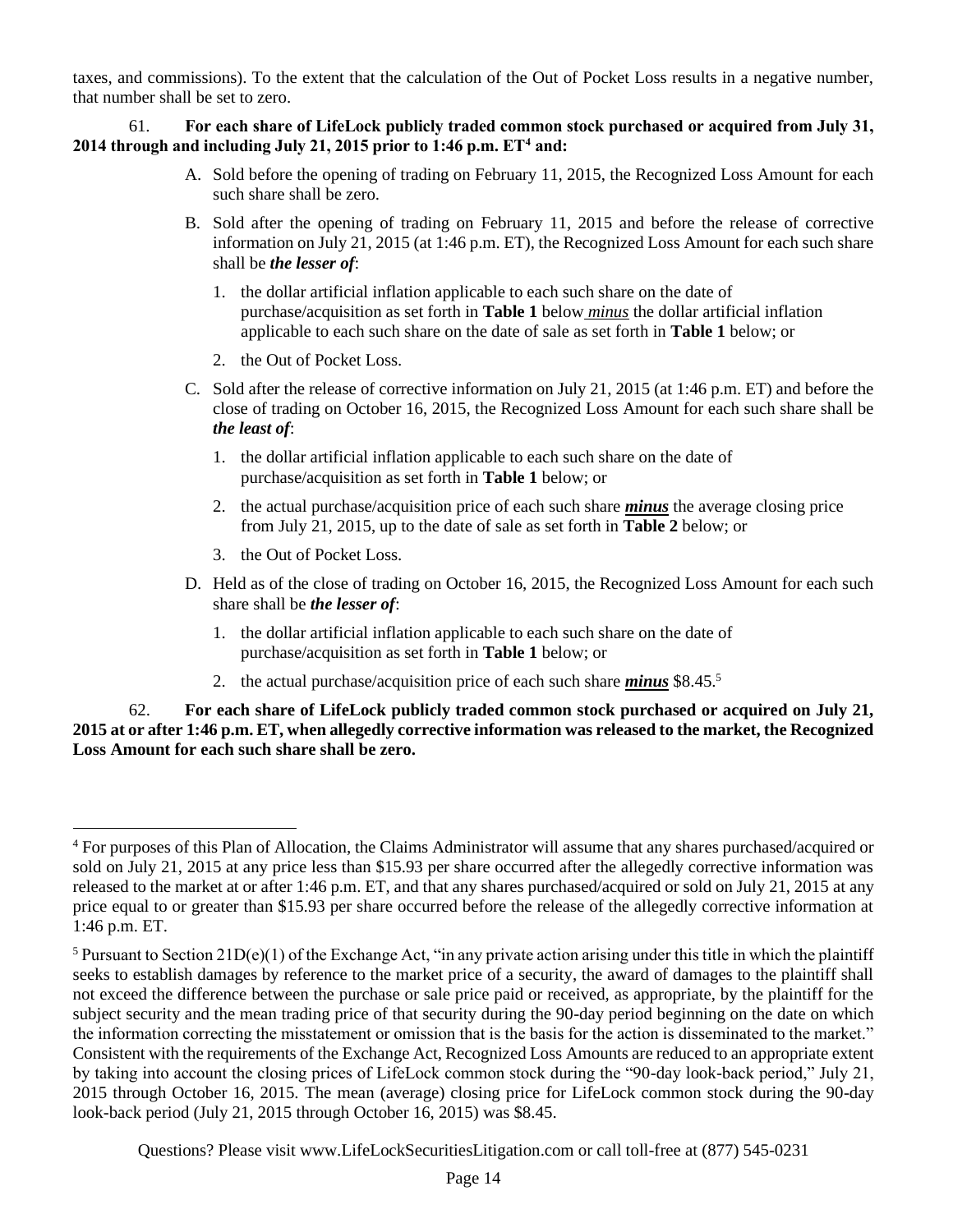taxes, and commissions). To the extent that the calculation of the Out of Pocket Loss results in a negative number, that number shall be set to zero.

61. **For each share of LifeLock publicly traded common stock purchased or acquired from July 31, 2014 through and including July 21, 2015 prior to 1:46 p.m. ET<sup>4</sup> and:**

- A. Sold before the opening of trading on February 11, 2015, the Recognized Loss Amount for each such share shall be zero.
- B. Sold after the opening of trading on February 11, 2015 and before the release of corrective information on July 21, 2015 (at 1:46 p.m. ET), the Recognized Loss Amount for each such share shall be *the lesser of*:
	- 1. the dollar artificial inflation applicable to each such share on the date of purchase/acquisition as set forth in **Table 1** below *minus* the dollar artificial inflation applicable to each such share on the date of sale as set forth in **Table 1** below; or
	- 2. the Out of Pocket Loss.
- C. Sold after the release of corrective information on July 21, 2015 (at 1:46 p.m. ET) and before the close of trading on October 16, 2015, the Recognized Loss Amount for each such share shall be *the least of*:
	- 1. the dollar artificial inflation applicable to each such share on the date of purchase/acquisition as set forth in **Table 1** below; or
	- 2. the actual purchase/acquisition price of each such share *minus* the average closing price from July 21, 2015, up to the date of sale as set forth in **Table 2** below; or
	- 3. the Out of Pocket Loss.
- D. Held as of the close of trading on October 16, 2015, the Recognized Loss Amount for each such share shall be *the lesser of*:
	- 1. the dollar artificial inflation applicable to each such share on the date of purchase/acquisition as set forth in **Table 1** below; or
	- 2. the actual purchase/acquisition price of each such share *minus* \$8.45.<sup>5</sup>

62. **For each share of LifeLock publicly traded common stock purchased or acquired on July 21, 2015 at or after 1:46 p.m. ET, when allegedly corrective information was released to the market, the Recognized Loss Amount for each such share shall be zero.** 

<sup>4</sup> For purposes of this Plan of Allocation, the Claims Administrator will assume that any shares purchased/acquired or sold on July 21, 2015 at any price less than \$15.93 per share occurred after the allegedly corrective information was released to the market at or after 1:46 p.m. ET, and that any shares purchased/acquired or sold on July 21, 2015 at any price equal to or greater than \$15.93 per share occurred before the release of the allegedly corrective information at 1:46 p.m. ET.

<sup>&</sup>lt;sup>5</sup> Pursuant to Section 21D(e)(1) of the Exchange Act, "in any private action arising under this title in which the plaintiff seeks to establish damages by reference to the market price of a security, the award of damages to the plaintiff shall not exceed the difference between the purchase or sale price paid or received, as appropriate, by the plaintiff for the subject security and the mean trading price of that security during the 90-day period beginning on the date on which the information correcting the misstatement or omission that is the basis for the action is disseminated to the market." Consistent with the requirements of the Exchange Act, Recognized Loss Amounts are reduced to an appropriate extent by taking into account the closing prices of LifeLock common stock during the "90-day look-back period," July 21, 2015 through October 16, 2015. The mean (average) closing price for LifeLock common stock during the 90-day look-back period (July 21, 2015 through October 16, 2015) was \$8.45.

Questions? Please visit www.LifeLockSecuritiesLitigation.com or call toll-free at (877) 545-0231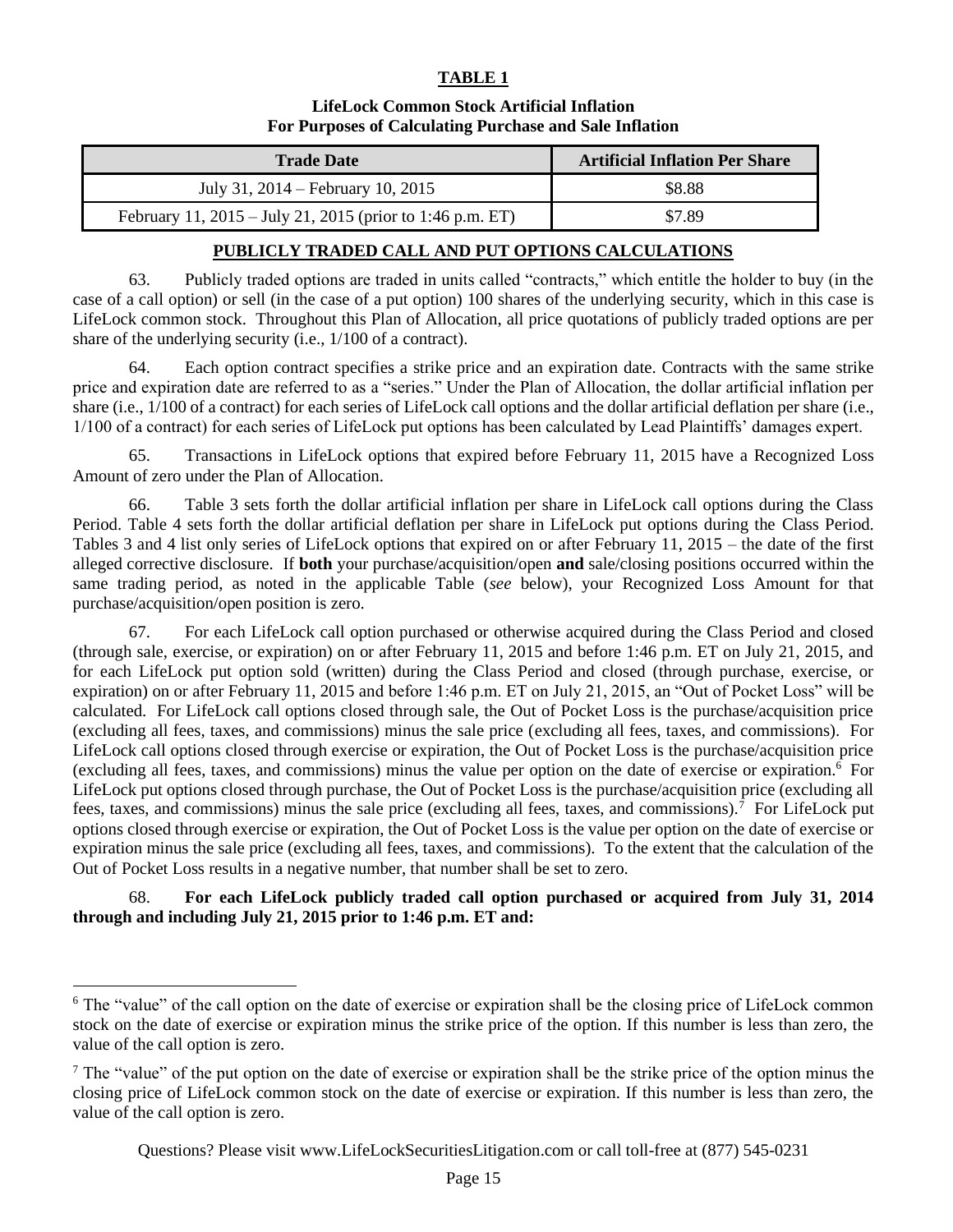#### **TABLE 1**

#### **LifeLock Common Stock Artificial Inflation For Purposes of Calculating Purchase and Sale Inflation**

| <b>Trade Date</b>                                         | <b>Artificial Inflation Per Share</b> |
|-----------------------------------------------------------|---------------------------------------|
| July 31, 2014 – February 10, 2015                         | \$8.88                                |
| February 11, 2015 – July 21, 2015 (prior to 1:46 p.m. ET) | \$7.89                                |

#### **PUBLICLY TRADED CALL AND PUT OPTIONS CALCULATIONS**

63. Publicly traded options are traded in units called "contracts," which entitle the holder to buy (in the case of a call option) or sell (in the case of a put option) 100 shares of the underlying security, which in this case is LifeLock common stock. Throughout this Plan of Allocation, all price quotations of publicly traded options are per share of the underlying security (i.e., 1/100 of a contract).

64. Each option contract specifies a strike price and an expiration date. Contracts with the same strike price and expiration date are referred to as a "series." Under the Plan of Allocation, the dollar artificial inflation per share (i.e., 1/100 of a contract) for each series of LifeLock call options and the dollar artificial deflation per share (i.e., 1/100 of a contract) for each series of LifeLock put options has been calculated by Lead Plaintiffs' damages expert.

65. Transactions in LifeLock options that expired before February 11, 2015 have a Recognized Loss Amount of zero under the Plan of Allocation.

66. Table 3 sets forth the dollar artificial inflation per share in LifeLock call options during the Class Period. Table 4 sets forth the dollar artificial deflation per share in LifeLock put options during the Class Period. Tables 3 and 4 list only series of LifeLock options that expired on or after February 11, 2015 – the date of the first alleged corrective disclosure. If **both** your purchase/acquisition/open **and** sale/closing positions occurred within the same trading period, as noted in the applicable Table (*see* below), your Recognized Loss Amount for that purchase/acquisition/open position is zero.

67. For each LifeLock call option purchased or otherwise acquired during the Class Period and closed (through sale, exercise, or expiration) on or after February 11, 2015 and before 1:46 p.m. ET on July 21, 2015, and for each LifeLock put option sold (written) during the Class Period and closed (through purchase, exercise, or expiration) on or after February 11, 2015 and before 1:46 p.m. ET on July 21, 2015, an "Out of Pocket Loss" will be calculated. For LifeLock call options closed through sale, the Out of Pocket Loss is the purchase/acquisition price (excluding all fees, taxes, and commissions) minus the sale price (excluding all fees, taxes, and commissions). For LifeLock call options closed through exercise or expiration, the Out of Pocket Loss is the purchase/acquisition price (excluding all fees, taxes, and commissions) minus the value per option on the date of exercise or expiration.<sup>6</sup> For LifeLock put options closed through purchase, the Out of Pocket Loss is the purchase/acquisition price (excluding all fees, taxes, and commissions) minus the sale price (excluding all fees, taxes, and commissions).<sup>7</sup> For LifeLock put options closed through exercise or expiration, the Out of Pocket Loss is the value per option on the date of exercise or expiration minus the sale price (excluding all fees, taxes, and commissions). To the extent that the calculation of the Out of Pocket Loss results in a negative number, that number shall be set to zero.

68. **For each LifeLock publicly traded call option purchased or acquired from July 31, 2014 through and including July 21, 2015 prior to 1:46 p.m. ET and:**

<sup>&</sup>lt;sup>6</sup> The "value" of the call option on the date of exercise or expiration shall be the closing price of LifeLock common stock on the date of exercise or expiration minus the strike price of the option. If this number is less than zero, the value of the call option is zero.

<sup>&</sup>lt;sup>7</sup> The "value" of the put option on the date of exercise or expiration shall be the strike price of the option minus the closing price of LifeLock common stock on the date of exercise or expiration. If this number is less than zero, the value of the call option is zero.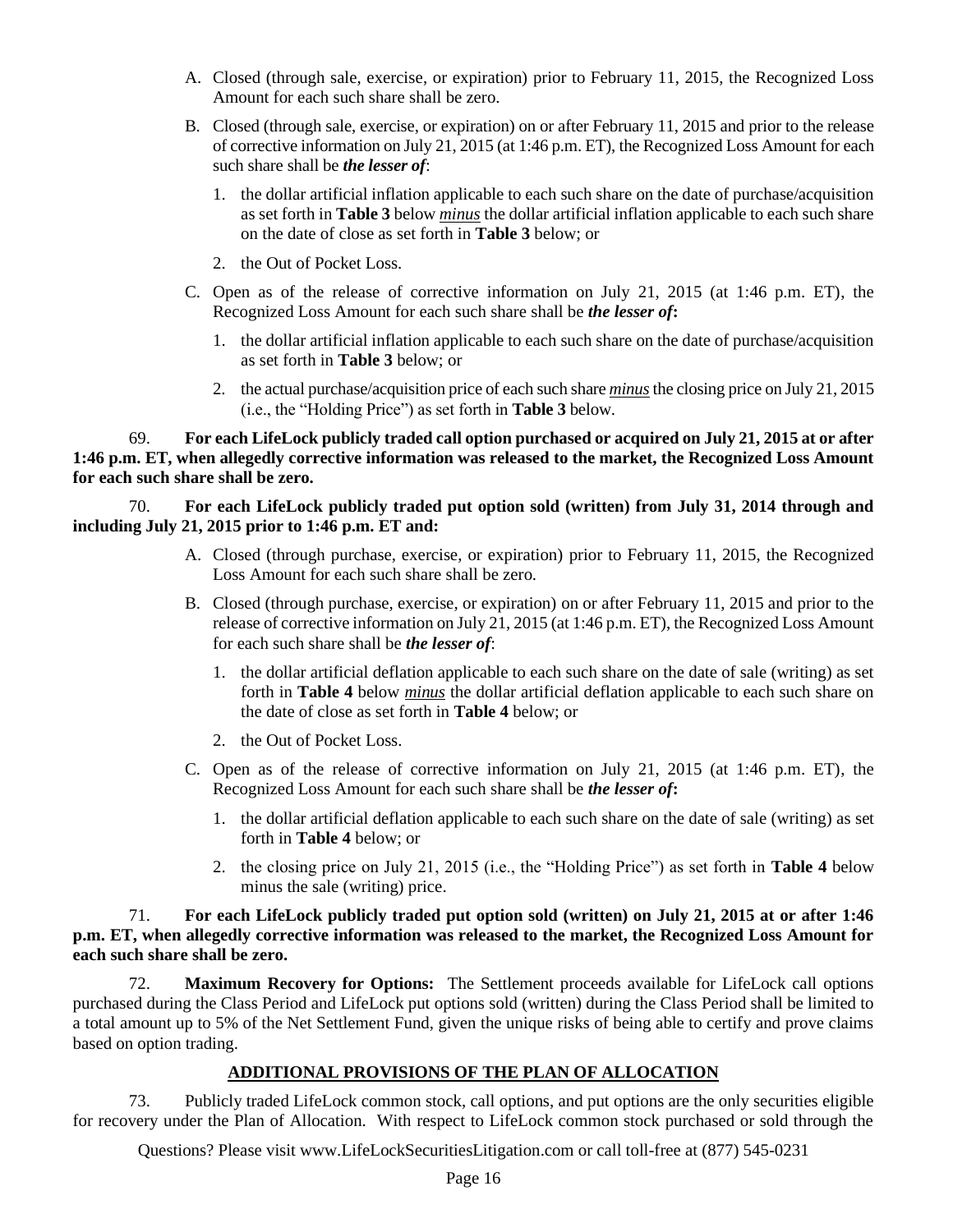- A. Closed (through sale, exercise, or expiration) prior to February 11, 2015, the Recognized Loss Amount for each such share shall be zero.
- B. Closed (through sale, exercise, or expiration) on or after February 11, 2015 and prior to the release of corrective information on July 21, 2015 (at 1:46 p.m. ET), the Recognized Loss Amount for each such share shall be *the lesser of*:
	- 1. the dollar artificial inflation applicable to each such share on the date of purchase/acquisition as set forth in **Table 3** below *minus* the dollar artificial inflation applicable to each such share on the date of close as set forth in **Table 3** below; or
	- 2. the Out of Pocket Loss.
- C. Open as of the release of corrective information on July 21, 2015 (at 1:46 p.m. ET), the Recognized Loss Amount for each such share shall be *the lesser of***:**
	- 1. the dollar artificial inflation applicable to each such share on the date of purchase/acquisition as set forth in **Table 3** below; or
	- 2. the actual purchase/acquisition price of each such share *minus*the closing price on July 21, 2015 (i.e., the "Holding Price") as set forth in **Table 3** below.

69. **For each LifeLock publicly traded call option purchased or acquired on July 21, 2015 at or after 1:46 p.m. ET, when allegedly corrective information was released to the market, the Recognized Loss Amount for each such share shall be zero.** 

70. **For each LifeLock publicly traded put option sold (written) from July 31, 2014 through and including July 21, 2015 prior to 1:46 p.m. ET and:**

- A. Closed (through purchase, exercise, or expiration) prior to February 11, 2015, the Recognized Loss Amount for each such share shall be zero.
- B. Closed (through purchase, exercise, or expiration) on or after February 11, 2015 and prior to the release of corrective information on July 21, 2015 (at 1:46 p.m. ET), the Recognized Loss Amount for each such share shall be *the lesser of*:
	- 1. the dollar artificial deflation applicable to each such share on the date of sale (writing) as set forth in **Table 4** below *minus* the dollar artificial deflation applicable to each such share on the date of close as set forth in **Table 4** below; or
	- 2. the Out of Pocket Loss.
- C. Open as of the release of corrective information on July 21, 2015 (at 1:46 p.m. ET), the Recognized Loss Amount for each such share shall be *the lesser of***:**
	- 1. the dollar artificial deflation applicable to each such share on the date of sale (writing) as set forth in **Table 4** below; or
	- 2. the closing price on July 21, 2015 (i.e., the "Holding Price") as set forth in **Table 4** below minus the sale (writing) price.

71. **For each LifeLock publicly traded put option sold (written) on July 21, 2015 at or after 1:46 p.m. ET, when allegedly corrective information was released to the market, the Recognized Loss Amount for each such share shall be zero.**

72. **Maximum Recovery for Options:** The Settlement proceeds available for LifeLock call options purchased during the Class Period and LifeLock put options sold (written) during the Class Period shall be limited to a total amount up to 5% of the Net Settlement Fund, given the unique risks of being able to certify and prove claims based on option trading.

#### **ADDITIONAL PROVISIONS OF THE PLAN OF ALLOCATION**

73. Publicly traded LifeLock common stock, call options, and put options are the only securities eligible for recovery under the Plan of Allocation. With respect to LifeLock common stock purchased or sold through the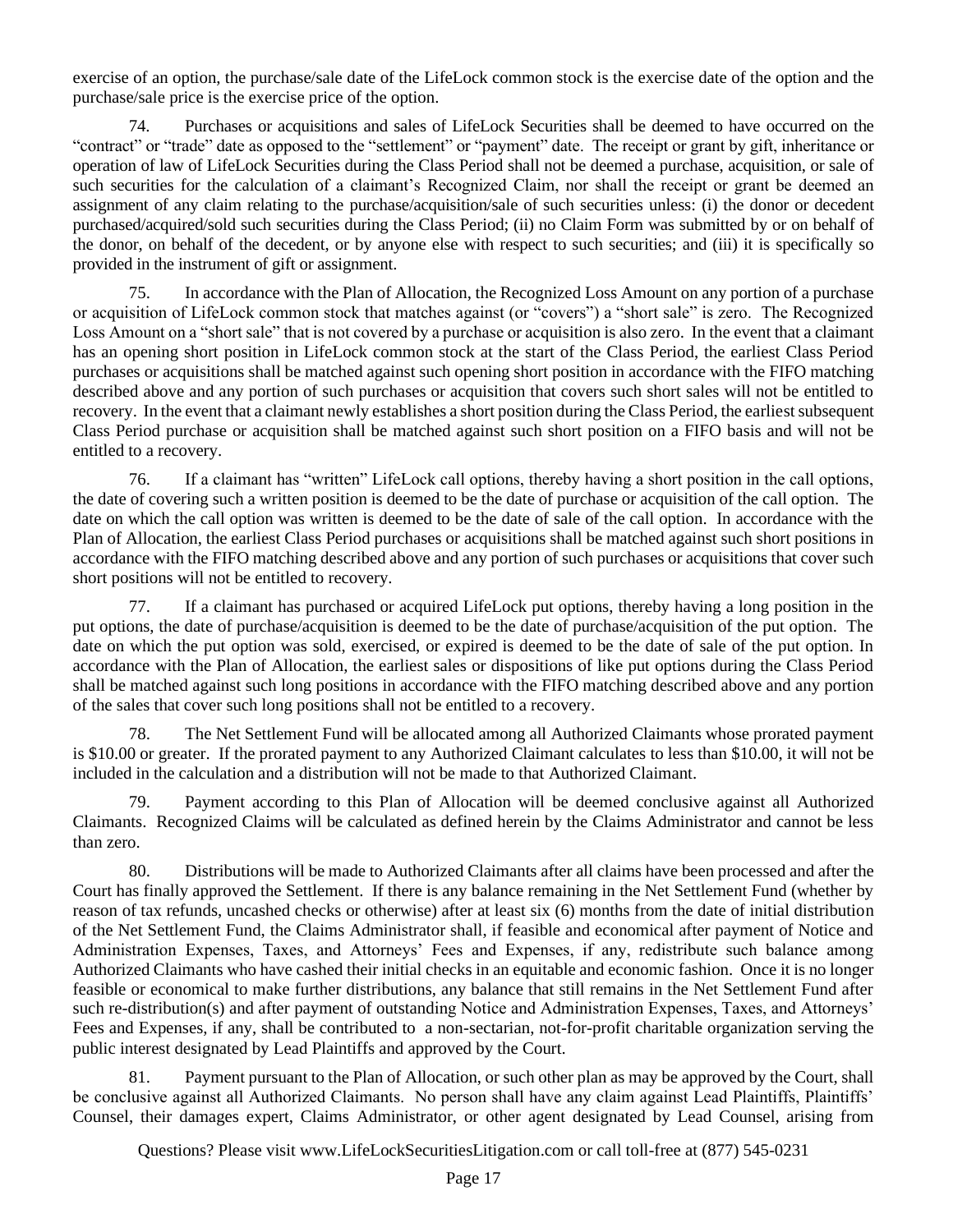exercise of an option, the purchase/sale date of the LifeLock common stock is the exercise date of the option and the purchase/sale price is the exercise price of the option.

74. Purchases or acquisitions and sales of LifeLock Securities shall be deemed to have occurred on the "contract" or "trade" date as opposed to the "settlement" or "payment" date. The receipt or grant by gift, inheritance or operation of law of LifeLock Securities during the Class Period shall not be deemed a purchase, acquisition, or sale of such securities for the calculation of a claimant's Recognized Claim, nor shall the receipt or grant be deemed an assignment of any claim relating to the purchase/acquisition/sale of such securities unless: (i) the donor or decedent purchased/acquired/sold such securities during the Class Period; (ii) no Claim Form was submitted by or on behalf of the donor, on behalf of the decedent, or by anyone else with respect to such securities; and (iii) it is specifically so provided in the instrument of gift or assignment.

75. In accordance with the Plan of Allocation, the Recognized Loss Amount on any portion of a purchase or acquisition of LifeLock common stock that matches against (or "covers") a "short sale" is zero. The Recognized Loss Amount on a "short sale" that is not covered by a purchase or acquisition is also zero. In the event that a claimant has an opening short position in LifeLock common stock at the start of the Class Period, the earliest Class Period purchases or acquisitions shall be matched against such opening short position in accordance with the FIFO matching described above and any portion of such purchases or acquisition that covers such short sales will not be entitled to recovery. In the event that a claimant newly establishes a short position during the Class Period, the earliest subsequent Class Period purchase or acquisition shall be matched against such short position on a FIFO basis and will not be entitled to a recovery.

76. If a claimant has "written" LifeLock call options, thereby having a short position in the call options, the date of covering such a written position is deemed to be the date of purchase or acquisition of the call option. The date on which the call option was written is deemed to be the date of sale of the call option. In accordance with the Plan of Allocation, the earliest Class Period purchases or acquisitions shall be matched against such short positions in accordance with the FIFO matching described above and any portion of such purchases or acquisitions that cover such short positions will not be entitled to recovery.

77. If a claimant has purchased or acquired LifeLock put options, thereby having a long position in the put options, the date of purchase/acquisition is deemed to be the date of purchase/acquisition of the put option. The date on which the put option was sold, exercised, or expired is deemed to be the date of sale of the put option. In accordance with the Plan of Allocation, the earliest sales or dispositions of like put options during the Class Period shall be matched against such long positions in accordance with the FIFO matching described above and any portion of the sales that cover such long positions shall not be entitled to a recovery.

78. The Net Settlement Fund will be allocated among all Authorized Claimants whose prorated payment is \$10.00 or greater. If the prorated payment to any Authorized Claimant calculates to less than \$10.00, it will not be included in the calculation and a distribution will not be made to that Authorized Claimant.

79. Payment according to this Plan of Allocation will be deemed conclusive against all Authorized Claimants. Recognized Claims will be calculated as defined herein by the Claims Administrator and cannot be less than zero.

80. Distributions will be made to Authorized Claimants after all claims have been processed and after the Court has finally approved the Settlement. If there is any balance remaining in the Net Settlement Fund (whether by reason of tax refunds, uncashed checks or otherwise) after at least six (6) months from the date of initial distribution of the Net Settlement Fund, the Claims Administrator shall, if feasible and economical after payment of Notice and Administration Expenses, Taxes, and Attorneys' Fees and Expenses, if any, redistribute such balance among Authorized Claimants who have cashed their initial checks in an equitable and economic fashion. Once it is no longer feasible or economical to make further distributions, any balance that still remains in the Net Settlement Fund after such re-distribution(s) and after payment of outstanding Notice and Administration Expenses, Taxes, and Attorneys' Fees and Expenses, if any, shall be contributed to a non-sectarian, not-for-profit charitable organization serving the public interest designated by Lead Plaintiffs and approved by the Court.

81. Payment pursuant to the Plan of Allocation, or such other plan as may be approved by the Court, shall be conclusive against all Authorized Claimants. No person shall have any claim against Lead Plaintiffs, Plaintiffs' Counsel, their damages expert, Claims Administrator, or other agent designated by Lead Counsel, arising from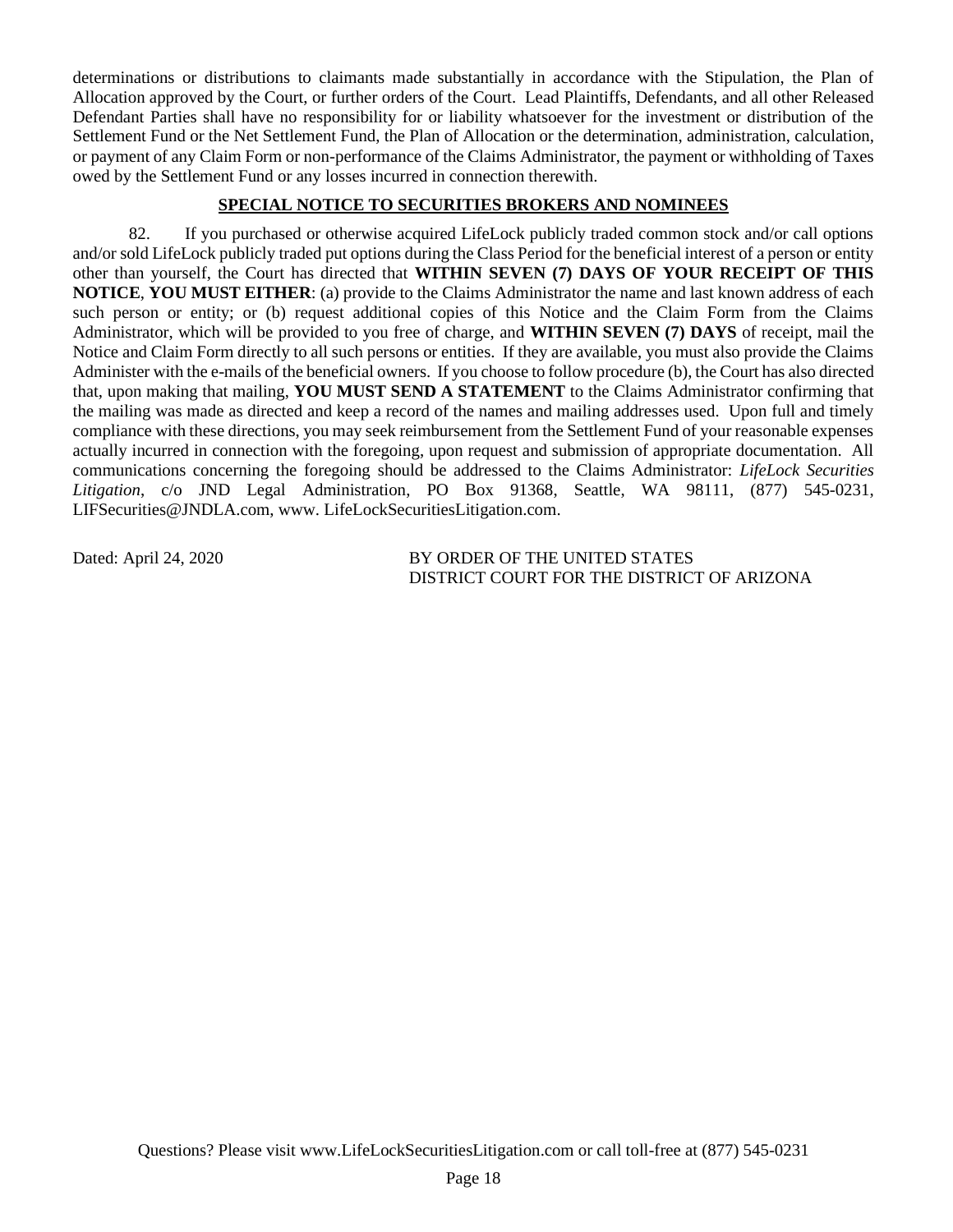determinations or distributions to claimants made substantially in accordance with the Stipulation, the Plan of Allocation approved by the Court, or further orders of the Court. Lead Plaintiffs, Defendants, and all other Released Defendant Parties shall have no responsibility for or liability whatsoever for the investment or distribution of the Settlement Fund or the Net Settlement Fund, the Plan of Allocation or the determination, administration, calculation, or payment of any Claim Form or non-performance of the Claims Administrator, the payment or withholding of Taxes owed by the Settlement Fund or any losses incurred in connection therewith.

## **SPECIAL NOTICE TO SECURITIES BROKERS AND NOMINEES**

82. If you purchased or otherwise acquired LifeLock publicly traded common stock and/or call options and/or sold LifeLock publicly traded put options during the Class Period for the beneficial interest of a person or entity other than yourself, the Court has directed that **WITHIN SEVEN (7) DAYS OF YOUR RECEIPT OF THIS NOTICE**, **YOU MUST EITHER**: (a) provide to the Claims Administrator the name and last known address of each such person or entity; or (b) request additional copies of this Notice and the Claim Form from the Claims Administrator, which will be provided to you free of charge, and **WITHIN SEVEN (7) DAYS** of receipt, mail the Notice and Claim Form directly to all such persons or entities. If they are available, you must also provide the Claims Administer with the e-mails of the beneficial owners. If you choose to follow procedure (b), the Court has also directed that, upon making that mailing, **YOU MUST SEND A STATEMENT** to the Claims Administrator confirming that the mailing was made as directed and keep a record of the names and mailing addresses used. Upon full and timely compliance with these directions, you may seek reimbursement from the Settlement Fund of your reasonable expenses actually incurred in connection with the foregoing, upon request and submission of appropriate documentation. All communications concerning the foregoing should be addressed to the Claims Administrator: *LifeLock Securities Litigation*, c/o JND Legal Administration, PO Box 91368, Seattle, WA 98111, (877) 545-0231, LIFSecurities@JNDLA.com, www. LifeLockSecuritiesLitigation.com.

Dated: April 24, 2020 BY ORDER OF THE UNITED STATES DISTRICT COURT FOR THE DISTRICT OF ARIZONA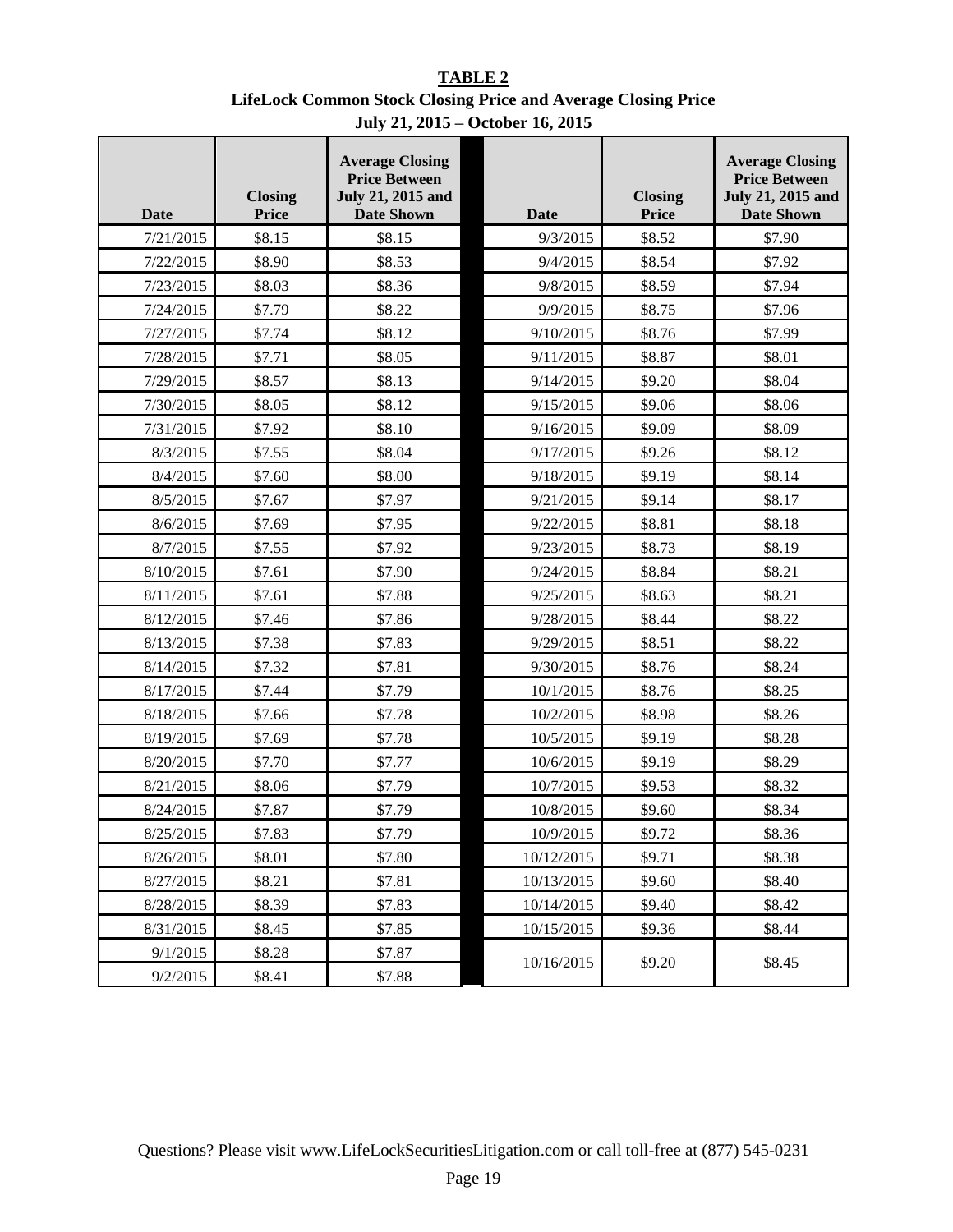**TABLE 2 LifeLock Common Stock Closing Price and Average Closing Price July 21, 2015 – October 16, 2015**

| <b>Date</b> | <b>Closing</b><br><b>Price</b> | <b>Average Closing</b><br><b>Price Between</b><br><b>July 21, 2015 and</b><br><b>Date Shown</b> | <b>Date</b> | <b>Closing</b><br><b>Price</b> | <b>Average Closing</b><br><b>Price Between</b><br><b>July 21, 2015 and</b><br><b>Date Shown</b> |
|-------------|--------------------------------|-------------------------------------------------------------------------------------------------|-------------|--------------------------------|-------------------------------------------------------------------------------------------------|
| 7/21/2015   | \$8.15                         | \$8.15                                                                                          | 9/3/2015    | \$8.52                         | \$7.90                                                                                          |
| 7/22/2015   | \$8.90                         | \$8.53                                                                                          | 9/4/2015    | \$8.54                         | \$7.92                                                                                          |
| 7/23/2015   | \$8.03                         | \$8.36                                                                                          | 9/8/2015    | \$8.59                         | \$7.94                                                                                          |
| 7/24/2015   | \$7.79                         | \$8.22                                                                                          | 9/9/2015    | \$8.75                         | \$7.96                                                                                          |
| 7/27/2015   | \$7.74                         | \$8.12                                                                                          | 9/10/2015   | \$8.76                         | \$7.99                                                                                          |
| 7/28/2015   | \$7.71                         | \$8.05                                                                                          | 9/11/2015   | \$8.87                         | \$8.01                                                                                          |
| 7/29/2015   | \$8.57                         | \$8.13                                                                                          | 9/14/2015   | \$9.20                         | \$8.04                                                                                          |
| 7/30/2015   | \$8.05                         | \$8.12                                                                                          | 9/15/2015   | \$9.06                         | \$8.06                                                                                          |
| 7/31/2015   | \$7.92                         | \$8.10                                                                                          | 9/16/2015   | \$9.09                         | \$8.09                                                                                          |
| 8/3/2015    | \$7.55                         | \$8.04                                                                                          | 9/17/2015   | \$9.26                         | \$8.12                                                                                          |
| 8/4/2015    | \$7.60                         | \$8.00                                                                                          | 9/18/2015   | \$9.19                         | \$8.14                                                                                          |
| 8/5/2015    | \$7.67                         | \$7.97                                                                                          | 9/21/2015   | \$9.14                         | \$8.17                                                                                          |
| 8/6/2015    | \$7.69                         | \$7.95                                                                                          | 9/22/2015   | \$8.81                         | \$8.18                                                                                          |
| 8/7/2015    | \$7.55                         | \$7.92                                                                                          | 9/23/2015   | \$8.73                         | \$8.19                                                                                          |
| 8/10/2015   | \$7.61                         | \$7.90                                                                                          | 9/24/2015   | \$8.84                         | \$8.21                                                                                          |
| 8/11/2015   | \$7.61                         | \$7.88                                                                                          | 9/25/2015   | \$8.63                         | \$8.21                                                                                          |
| 8/12/2015   | \$7.46                         | \$7.86                                                                                          | 9/28/2015   | \$8.44                         | \$8.22                                                                                          |
| 8/13/2015   | \$7.38                         | \$7.83                                                                                          | 9/29/2015   | \$8.51                         | \$8.22                                                                                          |
| 8/14/2015   | \$7.32                         | \$7.81                                                                                          | 9/30/2015   | \$8.76                         | \$8.24                                                                                          |
| 8/17/2015   | \$7.44                         | \$7.79                                                                                          | 10/1/2015   | \$8.76                         | \$8.25                                                                                          |
| 8/18/2015   | \$7.66                         | \$7.78                                                                                          | 10/2/2015   | \$8.98                         | \$8.26                                                                                          |
| 8/19/2015   | \$7.69                         | \$7.78                                                                                          | 10/5/2015   | \$9.19                         | \$8.28                                                                                          |
| 8/20/2015   | \$7.70                         | \$7.77                                                                                          | 10/6/2015   | \$9.19                         | \$8.29                                                                                          |
| 8/21/2015   | \$8.06                         | \$7.79                                                                                          | 10/7/2015   | \$9.53                         | \$8.32                                                                                          |
| 8/24/2015   | \$7.87                         | \$7.79                                                                                          | 10/8/2015   | \$9.60                         | \$8.34                                                                                          |
| 8/25/2015   | \$7.83                         | \$7.79                                                                                          | 10/9/2015   | \$9.72                         | \$8.36                                                                                          |
| 8/26/2015   | \$8.01                         | \$7.80                                                                                          | 10/12/2015  | \$9.71                         | \$8.38                                                                                          |
| 8/27/2015   | \$8.21                         | \$7.81                                                                                          | 10/13/2015  | \$9.60                         | \$8.40                                                                                          |
| 8/28/2015   | \$8.39                         | \$7.83                                                                                          | 10/14/2015  | \$9.40                         | \$8.42                                                                                          |
| 8/31/2015   | \$8.45                         | \$7.85                                                                                          | 10/15/2015  | \$9.36                         | \$8.44                                                                                          |
| 9/1/2015    | \$8.28                         | \$7.87                                                                                          | 10/16/2015  | \$9.20                         | \$8.45                                                                                          |
| 9/2/2015    | \$8.41                         | \$7.88                                                                                          |             |                                |                                                                                                 |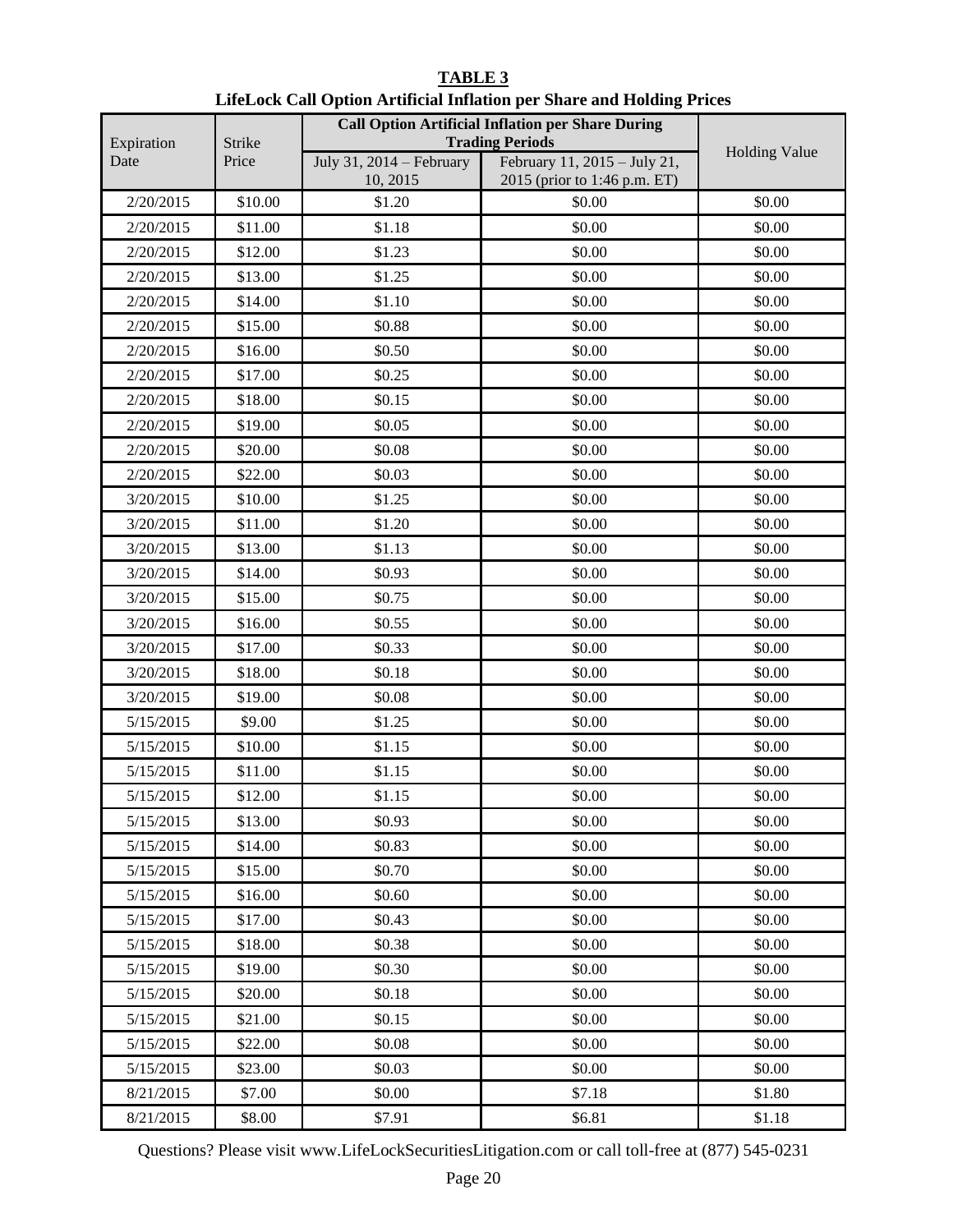| Expiration | <b>Strike</b> | <b>Call Option Artificial Inflation per Share During</b><br><b>Trading Periods</b> |                                                              |                      |
|------------|---------------|------------------------------------------------------------------------------------|--------------------------------------------------------------|----------------------|
| Date       | Price         | July 31, 2014 – February<br>10, 2015                                               | February 11, 2015 - July 21,<br>2015 (prior to 1:46 p.m. ET) | <b>Holding Value</b> |
| 2/20/2015  | \$10.00       | \$1.20                                                                             | \$0.00                                                       | \$0.00               |
| 2/20/2015  | \$11.00       | \$1.18                                                                             | \$0.00                                                       | \$0.00               |
| 2/20/2015  | \$12.00       | \$1.23                                                                             | \$0.00                                                       | \$0.00               |
| 2/20/2015  | \$13.00       | \$1.25                                                                             | \$0.00                                                       | \$0.00               |
| 2/20/2015  | \$14.00       | \$1.10                                                                             | \$0.00                                                       | \$0.00               |
| 2/20/2015  | \$15.00       | \$0.88                                                                             | \$0.00                                                       | \$0.00               |
| 2/20/2015  | \$16.00       | \$0.50                                                                             | \$0.00                                                       | \$0.00               |
| 2/20/2015  | \$17.00       | \$0.25                                                                             | \$0.00                                                       | \$0.00               |
| 2/20/2015  | \$18.00       | \$0.15                                                                             | \$0.00                                                       | \$0.00               |
| 2/20/2015  | \$19.00       | \$0.05                                                                             | \$0.00                                                       | \$0.00               |
| 2/20/2015  | \$20.00       | \$0.08                                                                             | \$0.00                                                       | \$0.00               |
| 2/20/2015  | \$22.00       | \$0.03                                                                             | \$0.00                                                       | \$0.00               |
| 3/20/2015  | \$10.00       | \$1.25                                                                             | \$0.00                                                       | \$0.00               |
| 3/20/2015  | \$11.00       | \$1.20                                                                             | \$0.00                                                       | \$0.00               |
| 3/20/2015  | \$13.00       | \$1.13                                                                             | \$0.00                                                       | \$0.00               |
| 3/20/2015  | \$14.00       | \$0.93                                                                             | \$0.00                                                       | \$0.00               |
| 3/20/2015  | \$15.00       | \$0.75                                                                             | \$0.00                                                       | \$0.00               |
| 3/20/2015  | \$16.00       | \$0.55                                                                             | \$0.00                                                       | \$0.00               |
| 3/20/2015  | \$17.00       | \$0.33                                                                             | \$0.00                                                       | \$0.00               |
| 3/20/2015  | \$18.00       | \$0.18                                                                             | \$0.00                                                       | \$0.00               |
| 3/20/2015  | \$19.00       | \$0.08                                                                             | \$0.00                                                       | \$0.00               |
| 5/15/2015  | \$9.00        | \$1.25                                                                             | \$0.00                                                       | \$0.00               |
| 5/15/2015  | \$10.00       | \$1.15                                                                             | \$0.00                                                       | \$0.00               |
| 5/15/2015  | \$11.00       | \$1.15                                                                             | \$0.00                                                       | \$0.00               |
| 5/15/2015  | \$12.00       | \$1.15                                                                             | \$0.00                                                       | \$0.00               |
| 5/15/2015  | \$13.00       | \$0.93                                                                             | \$0.00                                                       | \$0.00               |
| 5/15/2015  | \$14.00       | \$0.83                                                                             | \$0.00                                                       | \$0.00               |
| 5/15/2015  | \$15.00       | \$0.70                                                                             | \$0.00                                                       | \$0.00               |
| 5/15/2015  | \$16.00       | \$0.60                                                                             | \$0.00                                                       | \$0.00               |
| 5/15/2015  | \$17.00       | \$0.43                                                                             | \$0.00                                                       | \$0.00               |
| 5/15/2015  | \$18.00       | \$0.38                                                                             | \$0.00                                                       | \$0.00               |
| 5/15/2015  | \$19.00       | \$0.30                                                                             | \$0.00                                                       | \$0.00               |
| 5/15/2015  | \$20.00       | \$0.18                                                                             | \$0.00                                                       | \$0.00               |
| 5/15/2015  | \$21.00       | \$0.15                                                                             | \$0.00                                                       | \$0.00               |
| 5/15/2015  | \$22.00       | \$0.08                                                                             | \$0.00                                                       | \$0.00               |
| 5/15/2015  | \$23.00       | \$0.03                                                                             | \$0.00                                                       | \$0.00               |
| 8/21/2015  | \$7.00        | \$0.00                                                                             | \$7.18                                                       | \$1.80               |
| 8/21/2015  | \$8.00        | \$7.91                                                                             | \$6.81                                                       | \$1.18               |

# **TABLE 3 LifeLock Call Option Artificial Inflation per Share and Holding Prices**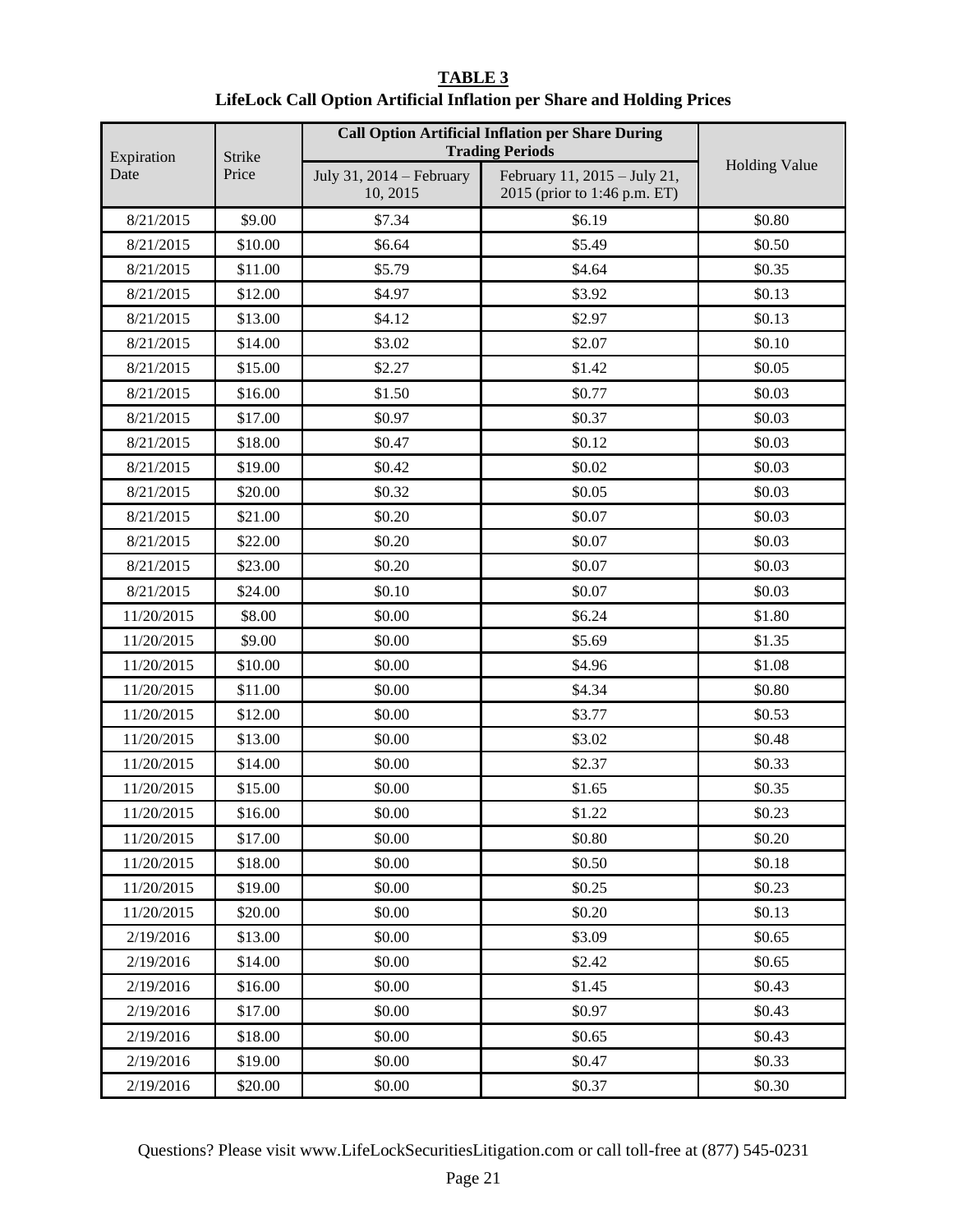| <b>TABLE 3</b>                                                         |
|------------------------------------------------------------------------|
| LifeLock Call Option Artificial Inflation per Share and Holding Prices |

| Expiration | Strike  | <b>Call Option Artificial Inflation per Share During</b><br><b>Trading Periods</b> |                                                              |                      |
|------------|---------|------------------------------------------------------------------------------------|--------------------------------------------------------------|----------------------|
| Date       | Price   | July 31, 2014 – February<br>10, 2015                                               | February 11, 2015 - July 21,<br>2015 (prior to 1:46 p.m. ET) | <b>Holding Value</b> |
| 8/21/2015  | \$9.00  | \$7.34                                                                             | \$6.19                                                       | \$0.80               |
| 8/21/2015  | \$10.00 | \$6.64                                                                             | \$5.49                                                       | \$0.50               |
| 8/21/2015  | \$11.00 | \$5.79                                                                             | \$4.64                                                       | \$0.35               |
| 8/21/2015  | \$12.00 | \$4.97                                                                             | \$3.92                                                       | \$0.13               |
| 8/21/2015  | \$13.00 | \$4.12                                                                             | \$2.97                                                       | \$0.13               |
| 8/21/2015  | \$14.00 | \$3.02                                                                             | \$2.07                                                       | \$0.10               |
| 8/21/2015  | \$15.00 | \$2.27                                                                             | \$1.42                                                       | \$0.05               |
| 8/21/2015  | \$16.00 | \$1.50                                                                             | \$0.77                                                       | \$0.03               |
| 8/21/2015  | \$17.00 | \$0.97                                                                             | \$0.37                                                       | \$0.03               |
| 8/21/2015  | \$18.00 | \$0.47                                                                             | \$0.12                                                       | \$0.03               |
| 8/21/2015  | \$19.00 | \$0.42                                                                             | \$0.02                                                       | \$0.03               |
| 8/21/2015  | \$20.00 | \$0.32                                                                             | \$0.05                                                       | \$0.03               |
| 8/21/2015  | \$21.00 | \$0.20                                                                             | \$0.07                                                       | \$0.03               |
| 8/21/2015  | \$22.00 | \$0.20                                                                             | \$0.07                                                       | \$0.03               |
| 8/21/2015  | \$23.00 | \$0.20                                                                             | \$0.07                                                       | \$0.03               |
| 8/21/2015  | \$24.00 | \$0.10                                                                             | \$0.07                                                       | \$0.03               |
| 11/20/2015 | \$8.00  | \$0.00                                                                             | \$6.24                                                       | \$1.80               |
| 11/20/2015 | \$9.00  | \$0.00                                                                             | \$5.69                                                       | \$1.35               |
| 11/20/2015 | \$10.00 | \$0.00                                                                             | \$4.96                                                       | \$1.08               |
| 11/20/2015 | \$11.00 | \$0.00                                                                             | \$4.34                                                       | \$0.80               |
| 11/20/2015 | \$12.00 | \$0.00                                                                             | \$3.77                                                       | \$0.53               |
| 11/20/2015 | \$13.00 | \$0.00                                                                             | \$3.02                                                       | \$0.48               |
| 11/20/2015 | \$14.00 | \$0.00                                                                             | \$2.37                                                       | \$0.33               |
| 11/20/2015 | \$15.00 | \$0.00                                                                             | \$1.65                                                       | \$0.35               |
| 11/20/2015 | \$16.00 | \$0.00                                                                             | \$1.22                                                       | \$0.23               |
| 11/20/2015 | \$17.00 | \$0.00                                                                             | \$0.80                                                       | \$0.20               |
| 11/20/2015 | \$18.00 | \$0.00                                                                             | \$0.50                                                       | \$0.18               |
| 11/20/2015 | \$19.00 | \$0.00                                                                             | \$0.25                                                       | \$0.23               |
| 11/20/2015 | \$20.00 | \$0.00                                                                             | \$0.20                                                       | \$0.13               |
| 2/19/2016  | \$13.00 | \$0.00                                                                             | \$3.09                                                       | \$0.65               |
| 2/19/2016  | \$14.00 | \$0.00                                                                             | \$2.42                                                       | \$0.65               |
| 2/19/2016  | \$16.00 | \$0.00                                                                             | \$1.45                                                       | \$0.43               |
| 2/19/2016  | \$17.00 | \$0.00                                                                             | \$0.97                                                       | \$0.43               |
| 2/19/2016  | \$18.00 | \$0.00                                                                             | \$0.65                                                       | \$0.43               |
| 2/19/2016  | \$19.00 | \$0.00                                                                             | \$0.47                                                       | \$0.33               |
| 2/19/2016  | \$20.00 | \$0.00                                                                             | \$0.37                                                       | \$0.30               |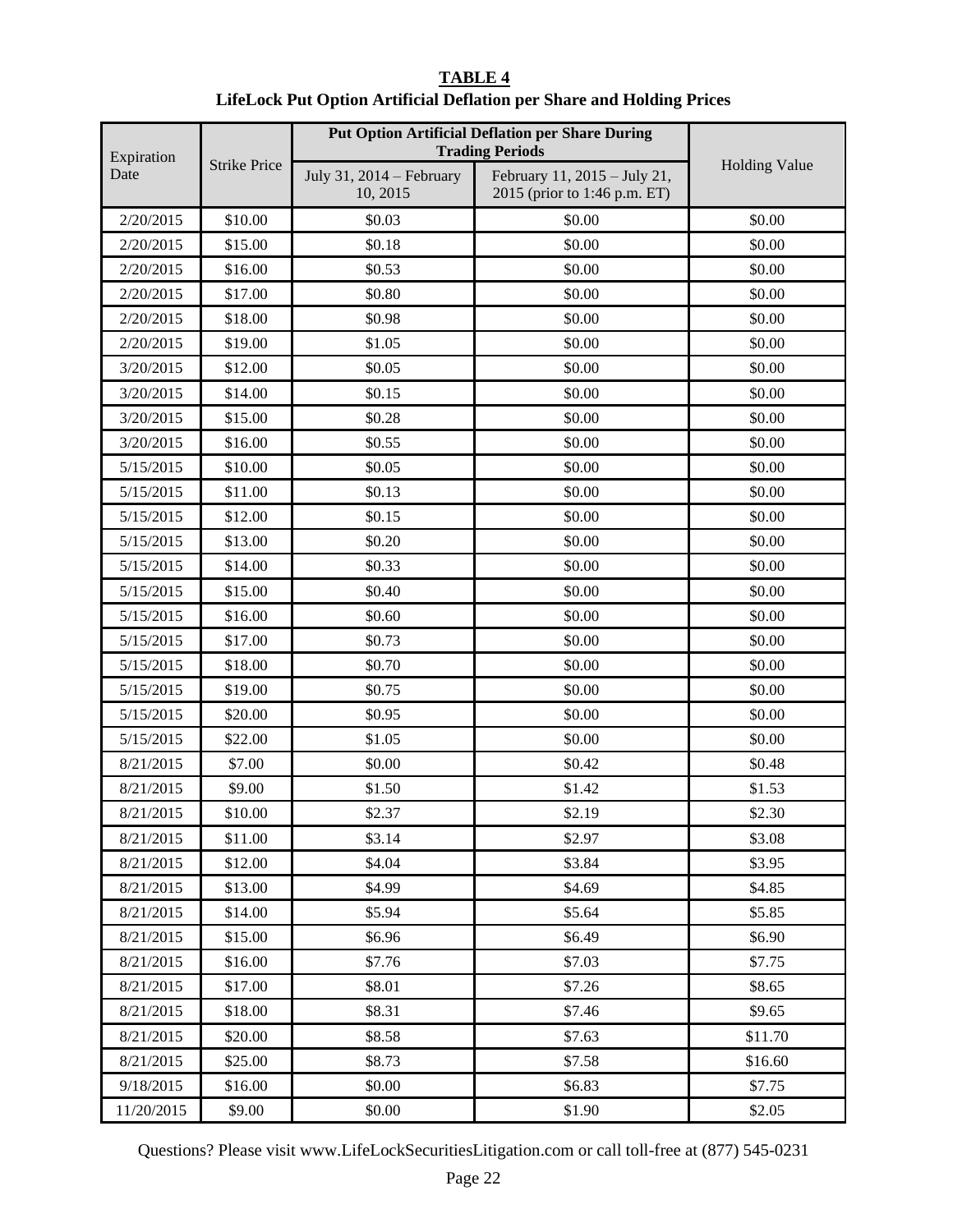| Expiration                  |         | <b>Put Option Artificial Deflation per Share During</b><br><b>Trading Periods</b> |                                                              |                      |
|-----------------------------|---------|-----------------------------------------------------------------------------------|--------------------------------------------------------------|----------------------|
| <b>Strike Price</b><br>Date |         | July 31, 2014 – February<br>10, 2015                                              | February 11, 2015 - July 21,<br>2015 (prior to 1:46 p.m. ET) | <b>Holding Value</b> |
| 2/20/2015                   | \$10.00 | \$0.03                                                                            | \$0.00                                                       | \$0.00               |
| 2/20/2015                   | \$15.00 | \$0.18                                                                            | \$0.00                                                       | \$0.00               |
| 2/20/2015                   | \$16.00 | \$0.53                                                                            | \$0.00                                                       | \$0.00               |
| 2/20/2015                   | \$17.00 | \$0.80                                                                            | \$0.00                                                       | \$0.00               |
| 2/20/2015                   | \$18.00 | \$0.98                                                                            | \$0.00                                                       | \$0.00               |
| 2/20/2015                   | \$19.00 | \$1.05                                                                            | \$0.00                                                       | \$0.00               |
| 3/20/2015                   | \$12.00 | \$0.05                                                                            | \$0.00                                                       | \$0.00               |
| 3/20/2015                   | \$14.00 | \$0.15                                                                            | \$0.00                                                       | \$0.00               |
| 3/20/2015                   | \$15.00 | \$0.28                                                                            | \$0.00                                                       | \$0.00               |
| 3/20/2015                   | \$16.00 | \$0.55                                                                            | \$0.00                                                       | \$0.00               |
| 5/15/2015                   | \$10.00 | \$0.05                                                                            | \$0.00                                                       | \$0.00               |
| 5/15/2015                   | \$11.00 | \$0.13                                                                            | \$0.00                                                       | \$0.00               |
| 5/15/2015                   | \$12.00 | \$0.15                                                                            | \$0.00                                                       | \$0.00               |
| 5/15/2015                   | \$13.00 | \$0.20                                                                            | \$0.00                                                       | \$0.00               |
| 5/15/2015                   | \$14.00 | \$0.33                                                                            | \$0.00                                                       | \$0.00               |
| 5/15/2015                   | \$15.00 | \$0.40                                                                            | \$0.00                                                       | \$0.00               |
| 5/15/2015                   | \$16.00 | \$0.60                                                                            | \$0.00                                                       | \$0.00               |
| 5/15/2015                   | \$17.00 | \$0.73                                                                            | \$0.00                                                       | \$0.00               |
| 5/15/2015                   | \$18.00 | \$0.70                                                                            | \$0.00                                                       | \$0.00               |
| 5/15/2015                   | \$19.00 | \$0.75                                                                            | \$0.00                                                       | \$0.00               |
| 5/15/2015                   | \$20.00 | \$0.95                                                                            | \$0.00                                                       | \$0.00               |
| 5/15/2015                   | \$22.00 | \$1.05                                                                            | \$0.00                                                       | \$0.00               |
| 8/21/2015                   | \$7.00  | \$0.00                                                                            | \$0.42                                                       | \$0.48               |
| 8/21/2015                   | \$9.00  | \$1.50                                                                            | \$1.42                                                       | \$1.53               |
| 8/21/2015                   | \$10.00 | \$2.37                                                                            | \$2.19                                                       | \$2.30               |
| 8/21/2015                   | \$11.00 | \$3.14                                                                            | \$2.97                                                       | \$3.08               |
| 8/21/2015                   | \$12.00 | \$4.04                                                                            | \$3.84                                                       | \$3.95               |
| 8/21/2015                   | \$13.00 | \$4.99                                                                            | \$4.69                                                       | \$4.85               |
| 8/21/2015                   | \$14.00 | \$5.94                                                                            | \$5.64                                                       | \$5.85               |
| 8/21/2015                   | \$15.00 | \$6.96                                                                            | \$6.49                                                       | \$6.90               |
| 8/21/2015                   | \$16.00 | \$7.76                                                                            | \$7.03                                                       | \$7.75               |
| 8/21/2015                   | \$17.00 | \$8.01                                                                            | \$7.26                                                       | \$8.65               |
| 8/21/2015                   | \$18.00 | \$8.31                                                                            | \$7.46                                                       | \$9.65               |
| 8/21/2015                   | \$20.00 | \$8.58                                                                            | \$7.63                                                       | \$11.70              |
| 8/21/2015                   | \$25.00 | \$8.73                                                                            | \$7.58                                                       | \$16.60              |
| 9/18/2015                   | \$16.00 | \$0.00                                                                            | \$6.83                                                       | \$7.75               |

# **TABLE 4 LifeLock Put Option Artificial Deflation per Share and Holding Prices**

Questions? Please visit www.LifeLockSecuritiesLitigation.com or call toll-free at (877) 545-0231

11/20/2015 \$9.00 \$0.00 \$0.00 \$1.90 \$2.05